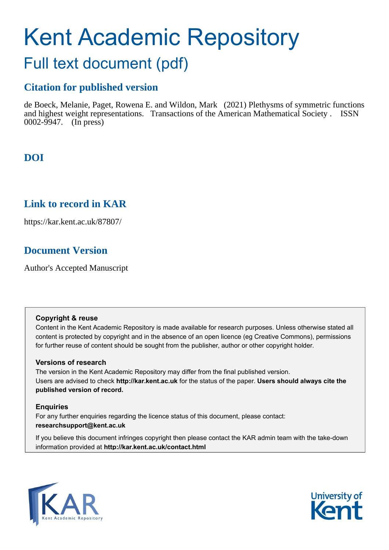# Kent Academic Repository

## Full text document (pdf)

## **Citation for published version**

de Boeck, Melanie, Paget, Rowena E. and Wildon, Mark (2021) Plethysms of symmetric functions and highest weight representations. Transactions of the American Mathematical Society . ISSN 0002-9947. (In press)

## **DOI**

### **Link to record in KAR**

https://kar.kent.ac.uk/87807/

## **Document Version**

Author's Accepted Manuscript

#### **Copyright & reuse**

Content in the Kent Academic Repository is made available for research purposes. Unless otherwise stated all content is protected by copyright and in the absence of an open licence (eg Creative Commons), permissions for further reuse of content should be sought from the publisher, author or other copyright holder.

#### **Versions of research**

The version in the Kent Academic Repository may differ from the final published version. Users are advised to check **http://kar.kent.ac.uk** for the status of the paper. **Users should always cite the published version of record.**

#### **Enquiries**

For any further enquiries regarding the licence status of this document, please contact: **researchsupport@kent.ac.uk**

If you believe this document infringes copyright then please contact the KAR admin team with the take-down information provided at **http://kar.kent.ac.uk/contact.html**



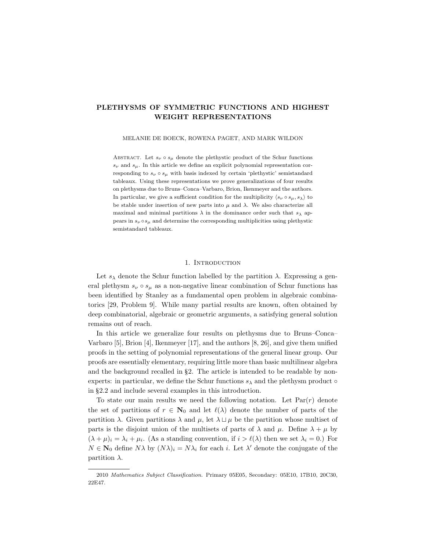#### PLETHYSMS OF SYMMETRIC FUNCTIONS AND HIGHEST WEIGHT REPRESENTATIONS

MELANIE DE BOECK, ROWENA PAGET, AND MARK WILDON

ABSTRACT. Let  $s_{\nu} \circ s_{\mu}$  denote the plethystic product of the Schur functions  $s_{\nu}$  and  $s_{\mu}$ . In this article we define an explicit polynomial representation corresponding to  $s_{\nu} \circ s_{\mu}$  with basis indexed by certain 'plethystic' semistandard tableaux. Using these representations we prove generalizations of four results on plethysms due to Bruns–Conca–Varbaro, Brion, Ikenmeyer and the authors. In particular, we give a sufficient condition for the multiplicity  $\langle s_{\nu} \circ s_{\mu}, s_{\lambda} \rangle$  to be stable under insertion of new parts into  $\mu$  and  $\lambda$ . We also characterize all maximal and minimal partitions  $\lambda$  in the dominance order such that  $s_\lambda$  appears in  $s_{\nu} \circ s_{\mu}$  and determine the corresponding multiplicities using plethystic semistandard tableaux.

#### 1. INTRODUCTION

Let  $s_{\lambda}$  denote the Schur function labelled by the partition  $\lambda$ . Expressing a general plethysm  $s_{\nu} \circ s_{\mu}$  as a non-negative linear combination of Schur functions has been identified by Stanley as a fundamental open problem in algebraic combinatorics [29, Problem 9]. While many partial results are known, often obtained by deep combinatorial, algebraic or geometric arguments, a satisfying general solution remains out of reach.

In this article we generalize four results on plethysms due to Bruns–Conca– Varbaro [5], Brion [4], Ikenmeyer [17], and the authors [8, 26], and give them unified proofs in the setting of polynomial representations of the general linear group. Our proofs are essentially elementary, requiring little more than basic multilinear algebra and the background recalled in §2. The article is intended to be readable by nonexperts: in particular, we define the Schur functions  $s_{\lambda}$  and the plethysm product  $\circ$ in §2.2 and include several examples in this introduction.

To state our main results we need the following notation. Let  $Par(r)$  denote the set of partitions of  $r \in \mathbb{N}_0$  and let  $\ell(\lambda)$  denote the number of parts of the partition  $\lambda$ . Given partitions  $\lambda$  and  $\mu$ , let  $\lambda \sqcup \mu$  be the partition whose multiset of parts is the disjoint union of the multisets of parts of  $\lambda$  and  $\mu$ . Define  $\lambda + \mu$  by  $(\lambda + \mu)_i = \lambda_i + \mu_i$ . (As a standing convention, if  $i > \ell(\lambda)$  then we set  $\lambda_i = 0$ .) For  $N \in \mathbf{N}_0$  define  $N\lambda$  by  $(N\lambda)_i = N\lambda_i$  for each i. Let  $\lambda'$  denote the conjugate of the partition  $\lambda$ .

<sup>2010</sup> Mathematics Subject Classification. Primary 05E05, Secondary: 05E10, 17B10, 20C30, 22E47.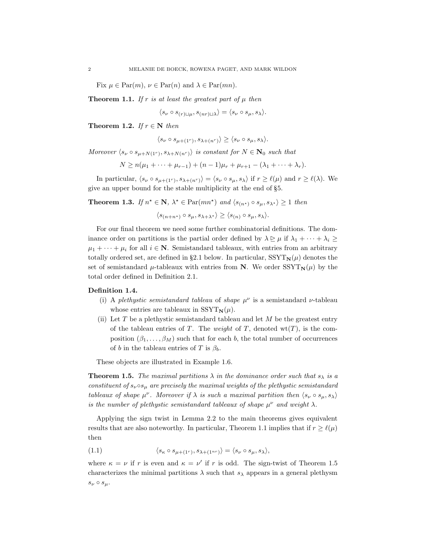Fix  $\mu \in \text{Par}(m)$ ,  $\nu \in \text{Par}(n)$  and  $\lambda \in \text{Par}(mn)$ .

**Theorem 1.1.** If r is at least the greatest part of  $\mu$  then

$$
\langle s_{\nu} \circ s_{(r)\sqcup \mu}, s_{(nr)\sqcup \lambda} \rangle = \langle s_{\nu} \circ s_{\mu}, s_{\lambda} \rangle.
$$

Theorem 1.2. If  $r \in \mathbb{N}$  then

$$
\langle s_{\nu} \circ s_{\mu + (1^r)}, s_{\lambda + (n^r)} \rangle \ge \langle s_{\nu} \circ s_{\mu}, s_{\lambda} \rangle.
$$

Moreover  $\langle s_{\nu} \circ s_{\mu+N(1^r)}, s_{\lambda+N(n^r)} \rangle$  is constant for  $N \in \mathbb{N}_0$  such that

$$
N \ge n(\mu_1 + \dots + \mu_{r-1}) + (n-1)\mu_r + \mu_{r+1} - (\lambda_1 + \dots + \lambda_r).
$$

In particular,  $\langle s_{\nu} \circ s_{\mu+(1^r)}, s_{\lambda+(n^r)} \rangle = \langle s_{\nu} \circ s_{\mu}, s_{\lambda} \rangle$  if  $r \ge \ell(\mu)$  and  $r \ge \ell(\lambda)$ . We give an upper bound for the stable multiplicity at the end of §5.

**Theorem 1.3.** If  $n^* \in \mathbb{N}$ ,  $\lambda^* \in \text{Par}(mn^*)$  and  $\langle s_{(n^*)} \circ s_{\mu}, s_{\lambda^*} \rangle \ge 1$  then

$$
\langle s_{(n+n^*)} \circ s_{\mu}, s_{\lambda+\lambda^*} \rangle \ge \langle s_{(n)} \circ s_{\mu}, s_{\lambda} \rangle.
$$

For our final theorem we need some further combinatorial definitions. The dominance order on partitions is the partial order defined by  $\lambda \geq \mu$  if  $\lambda_1 + \cdots + \lambda_i \geq$  $\mu_1 + \cdots + \mu_i$  for all  $i \in \mathbb{N}$ . Semistandard tableaux, with entries from an arbitrary totally ordered set, are defined in §2.1 below. In particular,  $SST<sub>N</sub>(\mu)$  denotes the set of semistandard  $\mu$ -tableaux with entries from N. We order  $SSYT_N(\mu)$  by the total order defined in Definition 2.1.

#### Definition 1.4.

- (i) A plethystic semistandard tableau of shape  $\mu^{\nu}$  is a semistandard  $\nu$ -tableau whose entries are tableaux in  $SSYT_N(\mu)$ .
- (ii) Let T be a plethystic semistandard tableau and let  $M$  be the greatest entry of the tableau entries of T. The *weight* of T, denoted  $wt(T)$ , is the composition  $(\beta_1, \ldots, \beta_M)$  such that for each b, the total number of occurrences of b in the tableau entries of T is  $\beta_b$ .

These objects are illustrated in Example 1.6.

**Theorem 1.5.** The maximal partitions  $\lambda$  in the dominance order such that  $s_{\lambda}$  is a constituent of  $s_{\nu} \circ s_{\mu}$  are precisely the maximal weights of the plethystic semistandard tableaux of shape  $\mu^{\nu}$ . Moreover if  $\lambda$  is such a maximal partition then  $\langle s_{\nu} \circ s_{\mu}, s_{\lambda} \rangle$ is the number of plethystic semistandard tableaux of shape  $\mu^{\nu}$  and weight  $\lambda$ .

Applying the sign twist in Lemma 2.2 to the main theorems gives equivalent results that are also noteworthy. In particular, Theorem 1.1 implies that if  $r \geq \ell(\mu)$ then

(1.1)  $\langle s_{\kappa} \circ s_{\mu + (1^r)}, s_{\lambda + (1^{nr})} \rangle = \langle s_{\nu} \circ s_{\mu}, s_{\lambda} \rangle,$ 

where  $\kappa = \nu$  if r is even and  $\kappa = \nu'$  if r is odd. The sign-twist of Theorem 1.5 characterizes the minimal partitions  $\lambda$  such that  $s_{\lambda}$  appears in a general plethysm  $s_{\nu} \circ s_{\mu}$ .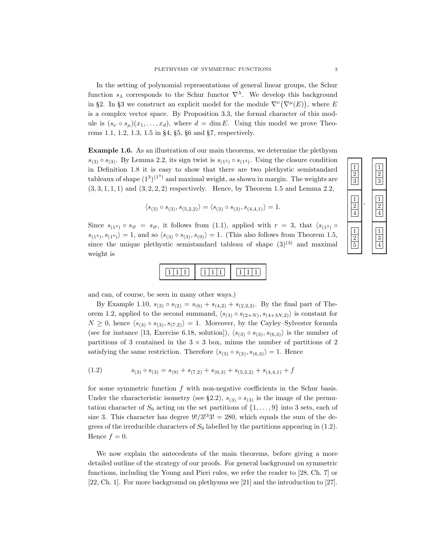In the setting of polynomial representations of general linear groups, the Schur function  $s_{\lambda}$  corresponds to the Schur functor  $\nabla^{\lambda}$ . We develop this background in §2. In §3 we construct an explicit model for the module  $\nabla^{\nu}(\nabla^{\mu}(E))$ , where E is a complex vector space. By Proposition 3.3, the formal character of this module is  $(s_{\nu} \circ s_{\mu})(x_1, \ldots, x_d)$ , where  $d = \dim E$ . Using this model we prove Theorems 1.1, 1.2, 1.3, 1.5 in §4, §5, §6 and §7, respectively.

Example 1.6. As an illustration of our main theorems, we determine the plethysm  $s_{(3)} \circ s_{(3)}$ . By Lemma 2.2, its sign twist is  $s_{(1^3)} \circ s_{(1^3)}$ . Using the closure condition in Definition 1.8 it is easy to show that there are two plethystic semistandard tableaux of shape  $(1^3)^{(1^3)}$  and maximal weight, as shown in margin. The weights are  $(3, 3, 1, 1, 1)$  and  $(3, 2, 2, 2)$  respectively. Hence, by Theorem 1.5 and Lemma 2.2,

$$
\langle s_{(3)} \circ s_{(3)}, s_{(5,2,2)} \rangle = \langle s_{(3)} \circ s_{(3)}, s_{(4,4,1)} \rangle = 1.
$$

Since  $s_{(1^3)} \circ s_{\emptyset} = s_{\emptyset}$ , it follows from (1.1), applied with  $r = 3$ , that  $\langle s_{(1^3)} \circ$  $\langle s_{(1^3)}, s_{(1^9)} \rangle = 1$ , and so  $\langle s_{(3)} \circ s_{(3)}, s_{(9)} \rangle = 1$ . (This also follows from Theorem 1.5, since the unique plethystic semistandard tableau of shape  $(3)^{(3)}$  and maximal weight is

and can, of course, be seen in many other ways.)

By Example 1.10,  $s_{(3)} \circ s_{(2)} = s_{(6)} + s_{(4,2)} + s_{(2,2,2)}$ . By the final part of Theorem 1.2, applied to the second summand,  $\langle s_{(3)} \circ s_{(2+N)}, s_{(4+3N,2)} \rangle$  is constant for  $N \geq 0$ , hence  $\langle s_{(3)} \circ s_{(3)}, s_{(7,2)} \rangle = 1$ . Moreover, by the Cayley–Sylvester formula (see for instance [13, Exercise 6.18, solution]),  $\langle s_{(3)} \circ s_{(3)}, s_{(6,3)} \rangle$  is the number of partitions of 3 contained in the  $3 \times 3$  box, minus the number of partitions of 2 satisfying the same restriction. Therefore  $\langle s_{(3)} \circ s_{(3)}, s_{(6,3)} \rangle = 1$ . Hence

$$
(1.2) \t\t s(3) \circ s(3) = s(9) + s(7,2) + s(6,3) + s(5,2,2) + s(4,4,1) + f
$$

for some symmetric function  $f$  with non-negative coefficients in the Schur basis. Under the characteristic isometry (see §2.2),  $s_{(3)} \circ s_{(3)}$  is the image of the permutation character of  $S_9$  acting on the set partitions of  $\{1, \ldots, 9\}$  into 3 sets, each of size 3. This character has degree  $9!/3^{3}3! = 280$ , which equals the sum of the degrees of the irreducible characters of  $S_9$  labelled by the partitions appearing in (1.2). Hence  $f = 0$ .

We now explain the antecedents of the main theorems, before giving a more detailed outline of the strategy of our proofs. For general background on symmetric functions, including the Young and Pieri rules, we refer the reader to [28, Ch. 7] or [22, Ch. 1]. For more background on plethysms see [21] and the introduction to [27].

| $\frac{1}{2}$   | $\frac{1}{2}$ |
|-----------------|---------------|
| $\frac{1}{2}$   | $\frac{1}{2}$ |
| $\frac{1}{2}$ 5 | $\frac{1}{3}$ |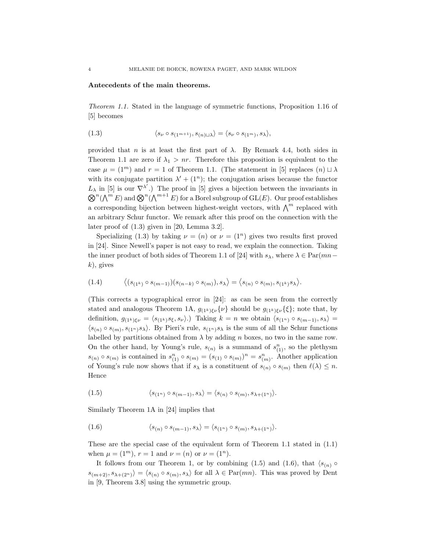#### Antecedents of the main theorems.

Theorem 1.1. Stated in the language of symmetric functions, Proposition 1.16 of [5] becomes

(1.3) 
$$
\langle s_{\nu} \circ s_{(1^{m+1})}, s_{(n)\sqcup \lambda} \rangle = \langle s_{\nu} \circ s_{(1^m)}, s_{\lambda} \rangle,
$$

provided that n is at least the first part of  $\lambda$ . By Remark 4.4, both sides in Theorem 1.1 are zero if  $\lambda_1 > nr$ . Therefore this proposition is equivalent to the case  $\mu = (1^m)$  and  $r = 1$  of Theorem 1.1. (The statement in [5] replaces  $(n) \sqcup \lambda$ with its conjugate partition  $\lambda' + (1^n)$ ; the conjugation arises because the functor  $L_{\lambda}$  in [5] is our  $\nabla^{\lambda'}$ .) The proof in [5] gives a bijection between the invariants in  $\bigotimes^n(\bigwedge^m E)$  and  $\bigotimes^n(\bigwedge^{m+1} E)$  for a Borel subgroup of GL(E). Our proof establishes a corresponding bijection between highest-weight vectors, with  $\bigwedge^m$  replaced with an arbitrary Schur functor. We remark after this proof on the connection with the later proof of (1.3) given in [20, Lemma 3.2].

Specializing (1.3) by taking  $\nu = (n)$  or  $\nu = (1^n)$  gives two results first proved in [24]. Since Newell's paper is not easy to read, we explain the connection. Taking the inner product of both sides of Theorem 1.1 of [24] with  $s_\lambda$ , where  $\lambda \in \text{Par}(mn-\lambda)$  $k$ , gives

$$
(1.4) \qquad \langle (s_{(1^k)} \circ s_{(m-1)})(s_{(n-k)} \circ s_{(m)}), s_{\lambda} \rangle = \langle s_{(n)} \circ s_{(m)}, s_{(1^k)}s_{\lambda} \rangle.
$$

(This corrects a typographical error in [24]: as can be seen from the correctly stated and analogous Theorem 1A,  $g_{(1^k)\xi\nu}\{\nu\}$  should be  $g_{(1^k)\xi\nu}\{\xi\}$ ; note that, by definition,  $g_{(1^k)\xi\nu} = \langle s_{(1^k)}s_{\xi}, s_{\nu} \rangle$ .) Taking  $k = n$  we obtain  $\langle s_{(1^n)} \circ s_{(m-1)}, s_{\lambda} \rangle =$  $\langle s_{(n)} \circ s_{(m)}, s_{(1^n)} s_{\lambda} \rangle$ . By Pieri's rule,  $s_{(1^n)} s_{\lambda}$  is the sum of all the Schur functions labelled by partitions obtained from  $\lambda$  by adding n boxes, no two in the same row. On the other hand, by Young's rule,  $s_{(n)}$  is a summand of  $s_{(1)}^n$ , so the plethysm  $s_{(n)} \circ s_{(m)}$  is contained in  $s_{(1)}^n \circ s_{(m)} = (s_{(1)} \circ s_{(m)})^n = s_{(m)}^n$ . Another application of Young's rule now shows that if  $s_{\lambda}$  is a constituent of  $s_{(n)} \circ s_{(m)}$  then  $\ell(\lambda) \leq n$ . Hence

(1.5) 
$$
\langle s_{(1^n)} \circ s_{(m-1)}, s_{\lambda} \rangle = \langle s_{(n)} \circ s_{(m)}, s_{\lambda + (1^n)} \rangle.
$$

Similarly Theorem 1A in [24] implies that

(1.6) 
$$
\langle s_{(n)} \circ s_{(m-1)}, s_{\lambda} \rangle = \langle s_{(1^n)} \circ s_{(m)}, s_{\lambda + (1^n)} \rangle.
$$

These are the special case of the equivalent form of Theorem 1.1 stated in (1.1) when  $\mu = (1^m)$ ,  $r = 1$  and  $\nu = (n)$  or  $\nu = (1^n)$ .

It follows from our Theorem 1, or by combining (1.5) and (1.6), that  $\langle s_{(n)} \circ$  $s_{(m+2)}, s_{\lambda+(2^n)}\rangle = \langle s_{(n)} \circ s_{(m)}, s_{\lambda} \rangle$  for all  $\lambda \in \text{Par}(mn)$ . This was proved by Dent in [9, Theorem 3.8] using the symmetric group.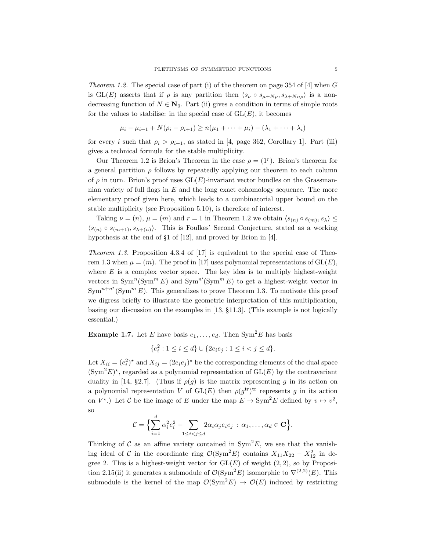*Theorem 1.2.* The special case of part (i) of the theorem on page 354 of  $[4]$  when G is GL(E) asserts that if  $\rho$  is any partition then  $\langle s_{\nu} \circ s_{\mu+N\rho}, s_{\lambda+Nn\rho} \rangle$  is a nondecreasing function of  $N \in \mathbb{N}_0$ . Part (ii) gives a condition in terms of simple roots for the values to stabilise: in the special case of  $GL(E)$ , it becomes

$$
\mu_i - \mu_{i+1} + N(\rho_i - \rho_{i+1}) \ge n(\mu_1 + \dots + \mu_i) - (\lambda_1 + \dots + \lambda_i)
$$

for every i such that  $\rho_i > \rho_{i+1}$ , as stated in [4, page 362, Corollary 1]. Part (iii) gives a technical formula for the stable multiplicity.

Our Theorem 1.2 is Brion's Theorem in the case  $\rho = (1^r)$ . Brion's theorem for a general partition  $\rho$  follows by repeatedly applying our theorem to each column of  $\rho$  in turn. Brion's proof uses  $GL(E)$ -invariant vector bundles on the Grassmannian variety of full flags in  $E$  and the long exact cohomology sequence. The more elementary proof given here, which leads to a combinatorial upper bound on the stable multiplicity (see Proposition 5.10), is therefore of interest.

Taking  $\nu = (n)$ ,  $\mu = (m)$  and  $r = 1$  in Theorem 1.2 we obtain  $\langle s_{(n)} \circ s_{(m)}, s_{\lambda} \rangle \leq$  $\langle s_{(n)} \circ s_{(m+1)}, s_{\lambda+(n)} \rangle$ . This is Foulkes' Second Conjecture, stated as a working hypothesis at the end of §1 of [12], and proved by Brion in [4].

Theorem 1.3. Proposition 4.3.4 of [17] is equivalent to the special case of Theorem 1.3 when  $\mu = (m)$ . The proof in [17] uses polynomial representations of  $GL(E)$ , where  $E$  is a complex vector space. The key idea is to multiply highest-weight vectors in  $\text{Sym}^m(\text{Sym}^m E)$  and  $\text{Sym}^m(\text{Sym}^m E)$  to get a highest-weight vector in  $\text{Sym}^{n+n^*}(\text{Sym}^m E)$ . This generalizes to prove Theorem 1.3. To motivate this proof we digress briefly to illustrate the geometric interpretation of this multiplication, basing our discussion on the examples in [13, §11.3]. (This example is not logically essential.)

**Example 1.7.** Let E have basis  $e_1, \ldots, e_d$ . Then Sym<sup>2</sup>E has basis

 $\{e_i^2 : 1 \le i \le d\} \cup \{2e_ie_j : 1 \le i < j \le d\}.$ 

Let  $X_{ii} = (e_i^2)^*$  and  $X_{ij} = (2e_ie_j)^*$  be the corresponding elements of the dual space  $(\text{Sym}^2 E)^*$ , regarded as a polynomial representation of  $\text{GL}(E)$  by the contravariant duality in [14, §2.7]. (Thus if  $\rho(g)$  is the matrix representing g in its action on a polynomial representation V of  $GL(E)$  then  $\rho(g^{tr})^{tr}$  represents g in its action on  $V^*$ .) Let C be the image of E under the map  $E \to \text{Sym}^2 E$  defined by  $v \mapsto v^2$ , so

$$
\mathcal{C} = \Big\{ \sum_{i=1}^d \alpha_i^2 e_i^2 + \sum_{1 \leq i < j \leq d} 2\alpha_i \alpha_j e_i e_j \, : \, \alpha_1, \dots, \alpha_d \in \mathbf{C} \Big\}.
$$

Thinking of C as an affine variety contained in  $\text{Sym}^2 E$ , we see that the vanishing ideal of C in the coordinate ring  $\mathcal{O}(\text{Sym}^2 E)$  contains  $X_{11}X_{22} - X_{12}^2$  in degree 2. This is a highest-weight vector for  $GL(E)$  of weight  $(2, 2)$ , so by Proposition 2.15(ii) it generates a submodule of  $\mathcal{O}(\text{Sym}^2 E)$  isomorphic to  $\nabla^{(2,2)}(E)$ . This submodule is the kernel of the map  $\mathcal{O}(\text{Sym}^2 E) \to \mathcal{O}(E)$  induced by restricting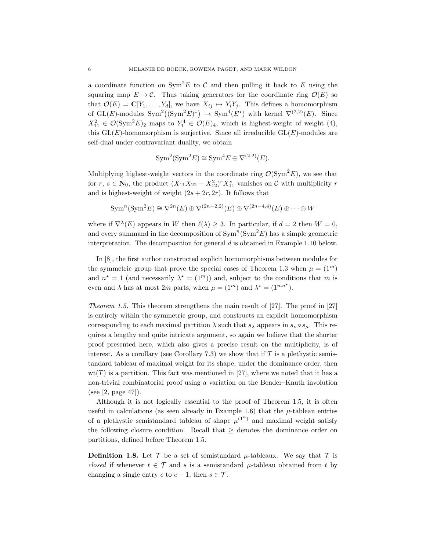a coordinate function on  $\text{Sym}^2 E$  to C and then pulling it back to E using the squaring map  $E \to \mathcal{C}$ . Thus taking generators for the coordinate ring  $\mathcal{O}(E)$  so that  $\mathcal{O}(E) = \mathbf{C}[Y_1, \ldots, Y_d]$ , we have  $X_{ij} \mapsto Y_i Y_j$ . This defines a homomorphism of GL(E)-modules  $\text{Sym}^2((\text{Sym}^2 E)^*) \to \text{Sym}^4(E^*)$  with kernel  $\nabla^{(2,2)}(E)$ . Since  $X_{11}^2 \in \mathcal{O}(\text{Sym}^2 E)_2$  maps to  $Y_1^4 \in \mathcal{O}(E)_4$ , which is highest-weight of weight (4), this  $GL(E)$ -homomorphism is surjective. Since all irreducible  $GL(E)$ -modules are self-dual under contravariant duality, we obtain

$$
Sym2(Sym2E) \cong Sym4E \oplus \nabla(2,2)(E).
$$

Multiplying highest-weight vectors in the coordinate ring  $\mathcal{O}(\text{Sym}^2 E)$ , we see that for  $r, s \in \mathbb{N}_0$ , the product  $(X_{11}X_{22} - X_{12}^2)^r X_{11}^s$  vanishes on  $\mathcal C$  with multiplicity  $r$ and is highest-weight of weight  $(2s + 2r, 2r)$ . It follows that

$$
\operatorname{Sym}^n(\operatorname{Sym}^2 E) \cong \nabla^{2n}(E) \oplus \nabla^{(2n-2,2)}(E) \oplus \nabla^{(2n-4,4)}(E) \oplus \cdots \oplus W
$$

where if  $\nabla^{\lambda}(E)$  appears in W then  $\ell(\lambda) \geq 3$ . In particular, if  $d = 2$  then  $W = 0$ , and every summand in the decomposition of  $\text{Sym}^n(\text{Sym}^2 E)$  has a simple geometric interpretation. The decomposition for general  $d$  is obtained in Example 1.10 below.

In [8], the first author constructed explicit homomorphisms between modules for the symmetric group that prove the special cases of Theorem 1.3 when  $\mu = (1^m)$ and  $n^* = 1$  (and necessarily  $\lambda^* = (1^m)$ ) and, subject to the conditions that m is even and  $\lambda$  has at most 2m parts, when  $\mu = (1^m)$  and  $\lambda^* = (1^{mn^*})$ .

Theorem 1.5. This theorem strengthens the main result of [27]. The proof in [27] is entirely within the symmetric group, and constructs an explicit homomorphism corresponding to each maximal partition  $\lambda$  such that  $s_{\lambda}$  appears in  $s_{\nu} \circ s_{\mu}$ . This requires a lengthy and quite intricate argument, so again we believe that the shorter proof presented here, which also gives a precise result on the multiplicity, is of interest. As a corollary (see Corollary 7.3) we show that if  $T$  is a plethystic semistandard tableau of maximal weight for its shape, under the dominance order, then  $wt(T)$  is a partition. This fact was mentioned in [27], where we noted that it has a non-trivial combinatorial proof using a variation on the Bender–Knuth involution (see [2, page 47]).

Although it is not logically essential to the proof of Theorem 1.5, it is often useful in calculations (as seen already in Example 1.6) that the  $\mu$ -tableau entries of a plethystic semistandard tableau of shape  $\mu^{(1^n)}$  and maximal weight satisfy the following closure condition. Recall that  $\geq$  denotes the dominance order on partitions, defined before Theorem 1.5.

**Definition 1.8.** Let  $\mathcal{T}$  be a set of semistandard  $\mu$ -tableaux. We say that  $\mathcal{T}$  is closed if whenever  $t \in \mathcal{T}$  and s is a semistandard  $\mu$ -tableau obtained from t by changing a single entry c to  $c - 1$ , then  $s \in \mathcal{T}$ .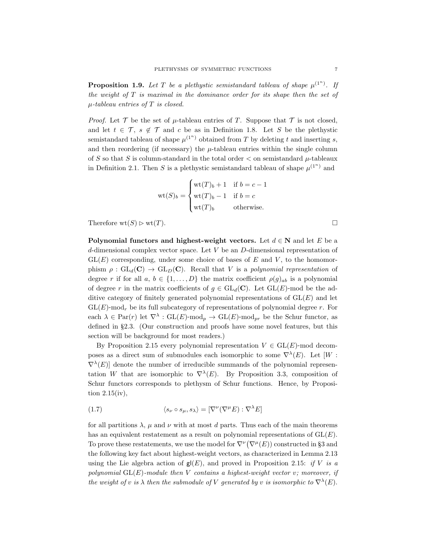**Proposition 1.9.** Let T be a plethystic semistandard tableau of shape  $\mu^{(1^n)}$ . If the weight of  $T$  is maximal in the dominance order for its shape then the set of  $\mu$ -tableau entries of T is closed.

*Proof.* Let  $\mathcal T$  be the set of  $\mu$ -tableau entries of T. Suppose that  $\mathcal T$  is not closed, and let  $t \in \mathcal{T}$ ,  $s \notin \mathcal{T}$  and c be as in Definition 1.8. Let S be the plethystic semistandard tableau of shape  $\mu^{(1^n)}$  obtained from T by deleting t and inserting s, and then reordering (if necessary) the  $\mu$ -tableau entries within the single column of S so that S is column-standard in the total order  $\lt$  on semistandard  $\mu$ -tableaux in Definition 2.1. Then S is a plethystic semistandard tableau of shape  $\mu^{(1^n)}$  and

$$
\text{wt}(S)_b = \begin{cases} \text{wt}(T)_b + 1 & \text{if } b = c - 1 \\ \text{wt}(T)_b - 1 & \text{if } b = c \\ \text{wt}(T)_b & \text{otherwise.} \end{cases}
$$

Therefore  $\text{wt}(S) \triangleright \text{wt}(T)$ .

Polynomial functors and highest-weight vectors. Let  $d \in \mathbb{N}$  and let E be a d-dimensional complex vector space. Let  $V$  be an  $D$ -dimensional representation of  $GL(E)$  corresponding, under some choice of bases of E and V, to the homomorphism  $\rho : GL_d(\mathbf{C}) \to GL_D(\mathbf{C})$ . Recall that V is a polynomial representation of degree r if for all  $a, b \in \{1, ..., D\}$  the matrix coefficient  $\rho(g)_{ab}$  is a polynomial of degree r in the matrix coefficients of  $g \in GL_d(\mathbb{C})$ . Let  $GL(E)$ -mod be the additive category of finitely generated polynomial representations of  $GL(E)$  and let  $GL(E)$ -mod<sub>r</sub> be its full subcategory of representations of polynomial degree r. For each  $\lambda \in \text{Par}(r)$  let  $\nabla^{\lambda} : \text{GL}(E) \text{-mod}_p \to \text{GL}(E) \text{-mod}_{pr}$  be the Schur functor, as defined in §2.3. (Our construction and proofs have some novel features, but this section will be background for most readers.)

By Proposition 2.15 every polynomial representation  $V \in GL(E)$ -mod decomposes as a direct sum of submodules each isomorphic to some  $\nabla^{\lambda}(E)$ . Let  $[W:$  $\nabla^{\lambda}(E)$  denote the number of irreducible summands of the polynomial representation W that are isomorphic to  $\nabla^{\lambda}(E)$ . By Proposition 3.3, composition of Schur functors corresponds to plethysm of Schur functions. Hence, by Proposition 2.15(iv),

(1.7) 
$$
\langle s_{\nu} \circ s_{\mu}, s_{\lambda} \rangle = [\nabla^{\nu} (\nabla^{\mu} E) : \nabla^{\lambda} E]
$$

for all partitions  $\lambda$ ,  $\mu$  and  $\nu$  with at most d parts. Thus each of the main theorems has an equivalent restatement as a result on polynomial representations of  $GL(E)$ . To prove these restatements, we use the model for  $\nabla^{\nu}(\nabla^{\mu}(E))$  constructed in §3 and the following key fact about highest-weight vectors, as characterized in Lemma 2.13 using the Lie algebra action of  $g(E)$ , and proved in Proposition 2.15: if V is a polynomial  $GL(E)$ -module then V contains a highest-weight vector v; moreover, if the weight of v is  $\lambda$  then the submodule of V generated by v is isomorphic to  $\nabla^{\lambda}(E)$ .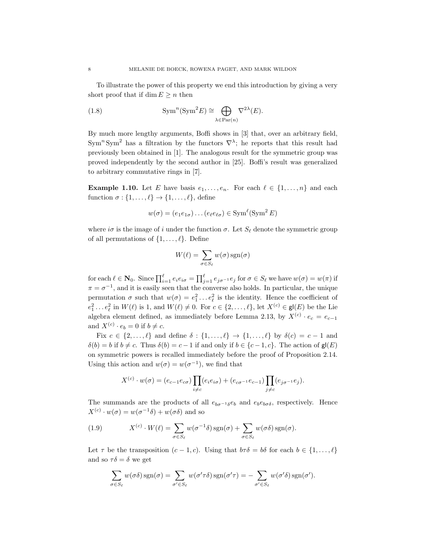To illustrate the power of this property we end this introduction by giving a very short proof that if dim  $E \geq n$  then

(1.8) 
$$
\mathrm{Sym}^n(\mathrm{Sym}^2 E) \cong \bigoplus_{\lambda \in \mathrm{Par}(n)} \nabla^{2\lambda}(E).
$$

By much more lengthy arguments, Boffi shows in [3] that, over an arbitrary field, Sym<sup>n</sup>Sym<sup>2</sup> has a filtration by the functors  $\nabla^{\lambda}$ ; he reports that this result had previously been obtained in [1]. The analogous result for the symmetric group was proved independently by the second author in [25]. Boffi's result was generalized to arbitrary commutative rings in [7].

**Example 1.10.** Let E have basis  $e_1, \ldots, e_n$ . For each  $\ell \in \{1, \ldots, n\}$  and each function  $\sigma : \{1, \ldots, \ell\} \to \{1, \ldots, \ell\}$ , define

$$
w(\sigma) = (e_1 e_{1\sigma}) \dots (e_{\ell} e_{\ell \sigma}) \in \operatorname{Sym}^{\ell}(\operatorname{Sym}^2 E)
$$

where  $i\sigma$  is the image of i under the function  $\sigma$ . Let  $S_{\ell}$  denote the symmetric group of all permutations of  $\{1, \ldots, \ell\}$ . Define

$$
W(\ell) = \sum_{\sigma \in S_{\ell}} w(\sigma) \operatorname{sgn}(\sigma)
$$

for each  $\ell \in \mathbf{N}_0$ . Since  $\prod_{i=1}^{\ell} e_i e_{i\sigma} = \prod_{j=1}^{\ell} e_{j\sigma^{-1}} e_j$  for  $\sigma \in S_{\ell}$  we have  $w(\sigma) = w(\pi)$  if  $\pi = \sigma^{-1}$ , and it is easily seen that the converse also holds. In particular, the unique permutation  $\sigma$  such that  $w(\sigma) = e_1^2 \dots e_\ell^2$  is the identity. Hence the coefficient of  $e_1^2 \dots e_\ell^2$  in  $W(\ell)$  is 1, and  $W(\ell) \neq 0$ . For  $c \in \{2, \dots, \ell\}$ , let  $X^{(c)} \in \mathsf{gl}(E)$  be the Lie algebra element defined, as immediately before Lemma 2.13, by  $X^{(c)} \cdot e_c = e_{c-1}$ and  $X^{(c)} \cdot e_b = 0$  if  $b \neq c$ .

Fix  $c \in \{2, \ldots, \ell\}$  and define  $\delta : \{1, \ldots, \ell\} \to \{1, \ldots, \ell\}$  by  $\delta(c) = c - 1$  and  $\delta(b) = b$  if  $b \neq c$ . Thus  $\delta(b) = c - 1$  if and only if  $b \in \{c - 1, c\}$ . The action of  $\mathsf{g}(\mathsf{E})$ on symmetric powers is recalled immediately before the proof of Proposition 2.14. Using this action and  $w(\sigma) = w(\sigma^{-1})$ , we find that

$$
X^{(c)} \cdot w(\sigma) = (e_{c-1}e_{c\sigma}) \prod_{i \neq c} (e_i e_{i\sigma}) + (e_{c\sigma^{-1}}e_{c-1}) \prod_{j \neq c} (e_{j\sigma^{-1}}e_j).
$$

The summands are the products of all  $e_{b\sigma}$ −1<sub>δ</sub> $e_b$  and  $e_be_{b\sigma}$ <sub>6</sub>, respectively. Hence  $X^{(c)} \cdot w(\sigma) = w(\sigma^{-1}\delta) + w(\sigma\delta)$  and so

(1.9) 
$$
X^{(c)} \cdot W(\ell) = \sum_{\sigma \in S_{\ell}} w(\sigma^{-1}\delta) \operatorname{sgn}(\sigma) + \sum_{\sigma \in S_{\ell}} w(\sigma\delta) \operatorname{sgn}(\sigma).
$$

Let  $\tau$  be the transposition  $(c - 1, c)$ . Using that  $b\tau\delta = b\delta$  for each  $b \in \{1, ..., \ell\}$ and so  $\tau \delta = \delta$  we get

$$
\sum_{\sigma \in S_{\ell}} w(\sigma \delta) \operatorname{sgn}(\sigma) = \sum_{\sigma' \in S_{\ell}} w(\sigma' \tau \delta) \operatorname{sgn}(\sigma' \tau) = -\sum_{\sigma' \in S_{\ell}} w(\sigma' \delta) \operatorname{sgn}(\sigma').
$$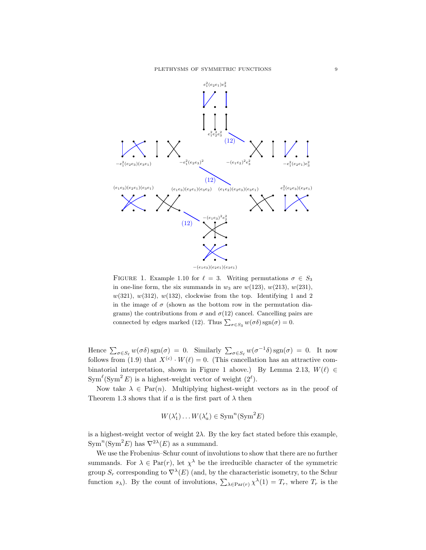

FIGURE 1. Example 1.10 for  $\ell = 3$ . Writing permutations  $\sigma \in S_3$ in one-line form, the six summands in  $w_3$  are  $w(123)$ ,  $w(213)$ ,  $w(231)$ ,  $w(321), w(312), w(132),$  clockwise from the top. Identifying 1 and 2 in the image of  $\sigma$  (shown as the bottom row in the permutation diagrams) the contributions from  $\sigma$  and  $\sigma$ (12) cancel. Cancelling pairs are connected by edges marked (12). Thus  $\sum_{\sigma \in S_3} w(\sigma \delta)$  sgn $(\sigma) = 0$ .

Hence  $\sum_{\sigma \in S_{\ell}} w(\sigma \delta) \operatorname{sgn}(\sigma) = 0$ . Similarly  $\sum_{\sigma \in S_{\ell}} w(\sigma^{-1} \delta) \operatorname{sgn}(\sigma) = 0$ . It now follows from (1.9) that  $X^{(c)} \cdot W(\ell) = 0$ . (This cancellation has an attractive combinatorial interpretation, shown in Figure 1 above.) By Lemma 2.13,  $W(\ell) \in$  $\text{Sym}^{\ell}(\text{Sym}^2 E)$  is a highest-weight vector of weight  $(2^{\ell}).$ 

Now take  $\lambda \in \text{Par}(n)$ . Multiplying highest-weight vectors as in the proof of Theorem 1.3 shows that if a is the first part of  $\lambda$  then

$$
W(\lambda'_1)\dots W(\lambda'_a) \in \text{Sym}^n(\text{Sym}^2 E)
$$

is a highest-weight vector of weight  $2\lambda$ . By the key fact stated before this example,  $Sym<sup>n</sup>(Sym<sup>2</sup>E)$  has  $\nabla^{2\lambda}(E)$  as a summand.

We use the Frobenius–Schur count of involutions to show that there are no further summands. For  $\lambda \in \text{Par}(r)$ , let  $\chi^{\lambda}$  be the irreducible character of the symmetric group  $S_r$  corresponding to  $\nabla^{\lambda}(E)$  (and, by the characteristic isometry, to the Schur function  $s_{\lambda}$ ). By the count of involutions,  $\sum_{\lambda \in \text{Par}(r)} \chi^{\lambda}(1) = T_r$ , where  $T_r$  is the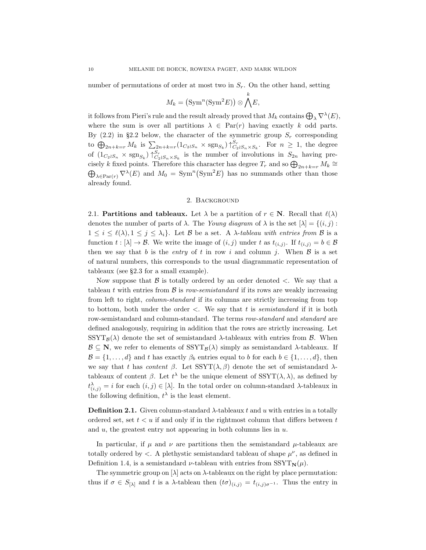number of permutations of order at most two in  $S_r$ . On the other hand, setting

$$
M_k = \left(\operatorname{Sym}^n(\operatorname{Sym}^2 E)\right) \otimes \bigwedge^k E,
$$

it follows from Pieri's rule and the result already proved that  $M_k$  contains  $\bigoplus_{\lambda} \nabla^{\lambda}(E)$ , where the sum is over all partitions  $\lambda \in \text{Par}(r)$  having exactly k odd parts. By  $(2.2)$  in §2.2 below, the character of the symmetric group  $S_r$  corresponding to  $\bigoplus_{2n+k=r} M_k$  is  $\sum_{2n+k=r} (1_{C_2 \wr S_n} \times \text{sgn}_{S_k}) \uparrow_{C_2 \wr S_n \times S_k}^{S_r}$ . For  $n \geq 1$ , the degree of  $(1_{C_2 \wr S_n} \times \text{sgn}_{S_k}) \uparrow_{C_2 \wr S_n \times S_k}^{S_r}$  is the number of involutions in  $S_{2n}$  having precisely k fixed points. Therefore this character has degree  $T_r$  and so  $\bigoplus_{2n+k=r} M_k \cong$  $\bigoplus_{\lambda \in \text{Par}(r)} \nabla^{\lambda}(E)$  and  $M_0 = \text{Sym}^n(\text{Sym}^2 E)$  has no summands other than those already found.

#### 2. Background

2.1. **Partitions and tableaux.** Let  $\lambda$  be a partition of  $r \in \mathbb{N}$ . Recall that  $\ell(\lambda)$ denotes the number of parts of  $\lambda$ . The Young diagram of  $\lambda$  is the set  $[\lambda] = \{(i, j) :$  $1 \leq i \leq \ell(\lambda), 1 \leq j \leq \lambda_i$ . Let B be a set. A  $\lambda$ -tableau with entries from B is a function  $t : [\lambda] \to \mathcal{B}$ . We write the image of  $(i, j)$  under t as  $t_{(i,j)}$ . If  $t_{(i,j)} = b \in \mathcal{B}$ then we say that b is the entry of t in row i and column j. When  $\beta$  is a set of natural numbers, this corresponds to the usual diagrammatic representation of tableaux (see §2.3 for a small example).

Now suppose that  $\beta$  is totally ordered by an order denoted  $\leq$ . We say that a tableau t with entries from  $\beta$  is row-semistandard if its rows are weakly increasing from left to right, column-standard if its columns are strictly increasing from top to bottom, both under the order  $\lt$ . We say that t is semistandard if it is both row-semistandard and column-standard. The terms row-standard and standard are defined analogously, requiring in addition that the rows are strictly increasing. Let  $SSYT_{\mathcal{B}}(\lambda)$  denote the set of semistandard  $\lambda$ -tableaux with entries from  $\beta$ . When  $\mathcal{B} \subseteq \mathbb{N}$ , we refer to elements of  $SSYT_B(\lambda)$  simply as semistandard  $\lambda$ -tableaux. If  $\mathcal{B} = \{1, \ldots, d\}$  and t has exactly  $\beta_b$  entries equal to b for each  $b \in \{1, \ldots, d\}$ , then we say that t has content  $\beta$ . Let  $SSYT(\lambda, \beta)$  denote the set of semistandard  $\lambda$ tableaux of content  $\beta$ . Let  $t^{\lambda}$  be the unique element of SSYT( $\lambda$ ,  $\lambda$ ), as defined by  $t^{\lambda}_{(i,j)} = i$  for each  $(i, j) \in [\lambda]$ . In the total order on column-standard  $\lambda$ -tableaux in the following definition,  $t^{\lambda}$  is the least element.

**Definition 2.1.** Given column-standard  $\lambda$ -tableaux t and u with entries in a totally ordered set, set  $t < u$  if and only if in the rightmost column that differs between  $t$ and  $u$ , the greatest entry not appearing in both columns lies in  $u$ .

In particular, if  $\mu$  and  $\nu$  are partitions then the semistandard  $\mu$ -tableaux are totally ordered by  $\langle \cdot \rangle$ . A plethystic semistandard tableau of shape  $\mu^{\nu}$ , as defined in Definition 1.4, is a semistandard *ν*-tableau with entries from  $SSYT_N(\mu)$ .

The symmetric group on  $[\lambda]$  acts on  $\lambda$ -tableaux on the right by place permutation: thus if  $\sigma \in S_{[\lambda]}$  and t is a  $\lambda$ -tableau then  $(t\sigma)_{(i,j)} = t_{(i,j)\sigma^{-1}}$ . Thus the entry in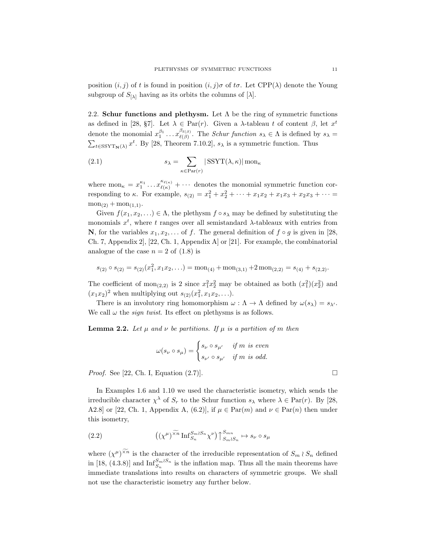position  $(i, j)$  of t is found in position  $(i, j)$ σ of tσ. Let CPP( $\lambda$ ) denote the Young subgroup of  $S_{[\lambda]}$  having as its orbits the columns of  $[\lambda]$ .

2.2. Schur functions and plethysm. Let  $\Lambda$  be the ring of symmetric functions as defined in [28, §7]. Let  $\lambda \in \text{Par}(r)$ . Given a  $\lambda$ -tableau t of content  $\beta$ , let  $x^t$ denote the monomial  $x_1^{\beta_1} \dots x_{\ell(\beta)}^{\beta_{\ell(\beta)}}$  $\ell(\beta)$ . The *Schur function*  $s_{\lambda} \in \Lambda$  is defined by  $s_{\lambda} =$  $\sum_{t \in \text{SSYT}_{\mathbf{N}}(\lambda)} x^t$ . By [28, Theorem 7.10.2],  $s_{\lambda}$  is a symmetric function. Thus

(2.1) 
$$
s_{\lambda} = \sum_{\kappa \in \text{Par}(r)} |\text{SSYT}(\lambda, \kappa)| \text{ mon}_{\kappa}
$$

where  $\text{mon}_{\kappa} = x_1^{\kappa_1} \dots x_{\ell(\kappa)}^{\kappa_{\ell(\kappa)}} + \dots$  denotes the monomial symmetric function corresponding to  $\kappa$ . For example,  $s_{(2)} = x_1^2 + x_2^2 + \cdots + x_1 x_2 + x_1 x_3 + x_2 x_3 + \cdots =$  $\text{mon}_{(2)} + \text{mon}_{(1,1)}$ .

Given  $f(x_1, x_2, ...) \in \Lambda$ , the plethysm  $f \circ s_\lambda$  may be defined by substituting the monomials  $x^t$ , where t ranges over all semistandard  $\lambda$ -tableaux with entries from N, for the variables  $x_1, x_2, \ldots$  of f. The general definition of  $f \circ g$  is given in [28, Ch. 7, Appendix 2], [22, Ch. 1, Appendix A] or [21]. For example, the combinatorial analogue of the case  $n = 2$  of  $(1.8)$  is

$$
s_{(2)} \circ s_{(2)} = s_{(2)}(x_1^2, x_1 x_2, \ldots) = \text{mon}_{(4)} + \text{mon}_{(3,1)} + 2 \text{ mon}_{(2,2)} = s_{(4)} + s_{(2,2)}.
$$

The coefficient of  $mon_{(2,2)}$  is 2 since  $x_1^2x_2^2$  may be obtained as both  $(x_1^2)(x_2^2)$  and  $(x_1x_2)^2$  when multiplying out  $s_{(2)}(x_1^2, x_1x_2,...)$ .

There is an involutory ring homomorphism  $\omega : \Lambda \to \Lambda$  defined by  $\omega(s_\lambda) = s_{\lambda'}$ . We call  $\omega$  the *sign twist*. Its effect on plethysms is as follows.

**Lemma 2.2.** Let  $\mu$  and  $\nu$  be partitions. If  $\mu$  is a partition of m then

$$
\omega(s_{\nu} \circ s_{\mu}) = \begin{cases} s_{\nu} \circ s_{\mu'} & \text{if } m \text{ is even} \\ s_{\nu'} \circ s_{\mu'} & \text{if } m \text{ is odd.} \end{cases}
$$

*Proof.* See [22, Ch. I, Equation (2.7)].

In Examples 1.6 and 1.10 we used the characteristic isometry, which sends the irreducible character  $\chi^{\lambda}$  of  $S_r$  to the Schur function  $s_{\lambda}$  where  $\lambda \in \text{Par}(r)$ . By [28, A2.8] or [22, Ch. 1, Appendix A, (6.2)], if  $\mu \in \text{Par}(m)$  and  $\nu \in \text{Par}(n)$  then under this isometry,

(2.2) 
$$
((\chi^{\mu})^{\widetilde{\times n}} \operatorname{Inf}_{S_n}^{S_m \wr S_n} \chi^{\nu}) \uparrow_{S_m \wr S_n}^{S_{mn}} \mapsto s_{\nu} \circ s_{\mu}
$$

where  $(\chi^{\mu})^{\times n}$  is the character of the irreducible representation of  $S_m \wr S_n$  defined in [18, (4.3.8)] and  $\text{Inf}_{S_n}^{S_m \wr S_n}$  is the inflation map. Thus all the main theorems have immediate translations into results on characters of symmetric groups. We shall not use the characteristic isometry any further below.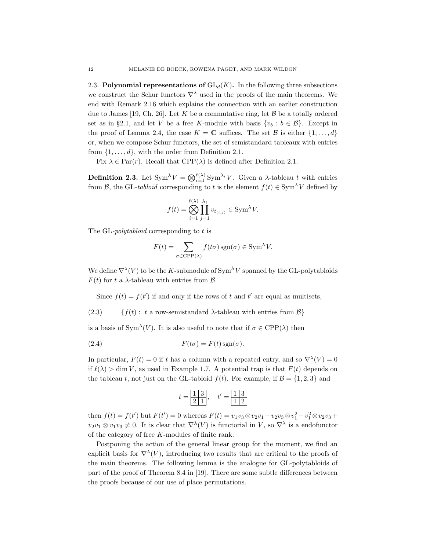2.3. Polynomial representations of  $GL_d(K)$ . In the following three subsections we construct the Schur functors  $\nabla^{\lambda}$  used in the proofs of the main theorems. We end with Remark 2.16 which explains the connection with an earlier construction due to James [19, Ch. 26]. Let K be a commutative ring, let  $\beta$  be a totally ordered set as in §2.1, and let V be a free K-module with basis  $\{v_b : b \in \mathcal{B}\}\$ . Except in the proof of Lemma 2.4, the case  $K = \mathbf{C}$  suffices. The set  $\mathcal{B}$  is either  $\{1, \ldots, d\}$ or, when we compose Schur functors, the set of semistandard tableaux with entries from  $\{1, \ldots, d\}$ , with the order from Definition 2.1.

Fix  $\lambda \in \text{Par}(r)$ . Recall that  $\text{CPP}(\lambda)$  is defined after Definition 2.1.

**Definition 2.3.** Let  $\text{Sym}^{\lambda} V = \bigotimes_{i=1}^{\ell(\lambda)} \text{Sym}^{\lambda_i} V$ . Given a  $\lambda$ -tableau t with entries from B, the GL-tabloid corresponding to t is the element  $f(t) \in \text{Sym}^{\lambda} V$  defined by

$$
f(t) = \bigotimes_{i=1}^{\ell(\lambda)} \prod_{j=1}^{\lambda_i} v_{t_{(i,j)}} \in \text{Sym}^{\lambda} V.
$$

The GL-*polytabloid* corresponding to t is

$$
F(t) = \sum_{\sigma \in \text{CPP}(\lambda)} f(t\sigma) \operatorname{sgn}(\sigma) \in \text{Sym}^{\lambda} V.
$$

We define  $\nabla^{\lambda}(V)$  to be the K-submodule of Sym<sup> $\lambda$ </sup>V spanned by the GL-polytabloids  $F(t)$  for t a  $\lambda$ -tableau with entries from  $\beta$ .

Since  $f(t) = f(t')$  if and only if the rows of t and t' are equal as multisets,

(2.3)  $\{f(t): t \text{ a row-semistandard } \lambda\text{-tableau with entries from } \mathcal{B}\}\$ 

is a basis of Sym<sup> $\lambda$ </sup>(V). It is also useful to note that if  $\sigma \in \text{CPP}(\lambda)$  then

(2.4) 
$$
F(t\sigma) = F(t) \operatorname{sgn}(\sigma).
$$

In particular,  $F(t) = 0$  if t has a column with a repeated entry, and so  $\nabla^{\lambda}(V) = 0$ if  $\ell(\lambda) > \dim V$ , as used in Example 1.7. A potential trap is that  $F(t)$  depends on the tableau t, not just on the GL-tabloid  $f(t)$ . For example, if  $\mathcal{B} = \{1, 2, 3\}$  and

$$
t = \boxed{\frac{1}{2} \ \frac{3}{1}}, \quad t' = \boxed{\frac{1}{1} \ \frac{3}{2}}
$$

then  $f(t) = f(t')$  but  $F(t') = 0$  whereas  $F(t) = v_1v_3 \otimes v_2v_1 - v_2v_3 \otimes v_1^2 - v_1^2 \otimes v_2v_3 +$  $v_2v_1 \otimes v_1v_3 \neq 0$ . It is clear that  $\nabla^{\lambda}(V)$  is functorial in V, so  $\nabla^{\lambda}$  is a endofunctor of the category of free K-modules of finite rank.

Postponing the action of the general linear group for the moment, we find an explicit basis for  $\nabla^{\lambda}(V)$ , introducing two results that are critical to the proofs of the main theorems. The following lemma is the analogue for GL-polytabloids of part of the proof of Theorem 8.4 in [19]. There are some subtle differences between the proofs because of our use of place permutations.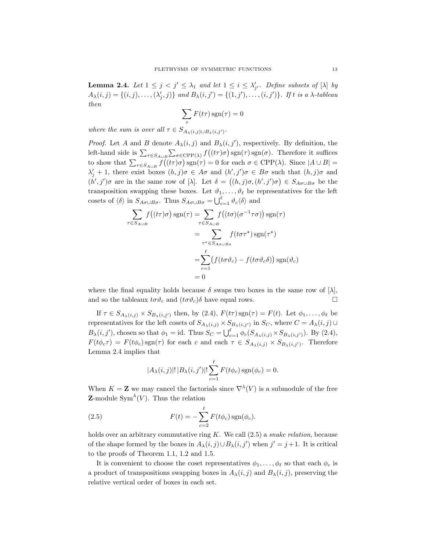**Lemma 2.4.** Let  $1 \leq j < j' \leq \lambda_1$  and let  $1 \leq i \leq \lambda'_{j'}$ . Define subsets of  $[\lambda]$  by  $A_{\lambda}(i,j) = \{(i,j), \ldots, (\lambda'_j, j)\}$  and  $B_{\lambda}(i,j') = \{(1,j'), \ldots, (i,j')\}$ . If t is a  $\lambda$ -tableau then

$$
\sum_{\tau} F(t\tau) \operatorname{sgn}(\tau) = 0
$$

where the sum is over all  $\tau \in S_{A_{\lambda}(i,j) \cup B_{\lambda}(i,j')}$ .

*Proof.* Let A and B denote  $A_{\lambda}(i, j)$  and  $B_{\lambda}(i, j')$ , respectively. By definition, the left-hand side is  $\sum_{\tau \in S_{A \cup B}} \sum_{\sigma \in \text{CPP}(\lambda)} f((t\tau)\sigma) \text{sgn}(\tau) \text{sgn}(\sigma)$ . Therefore it suffices to show that  $\sum_{\tau \in S_{A\cup B}} f((t\tau)\sigma) \operatorname{sgn}(\tau) = 0$  for each  $\sigma \in \text{CPP}(\lambda)$ . Since  $|A \cup B| =$  $\lambda'_j + 1$ , there exist boxes  $(h, j)\sigma \in A\sigma$  and  $(h', j')\sigma \in B\sigma$  such that  $(h, j)\sigma$  and  $(h', j')\sigma$  are in the same row of [ $\lambda$ ]. Let  $\delta = ((h, j)\sigma, (h', j')\sigma) \in S_{A\sigma \cup B\sigma}$  be the transposition swapping these boxes. Let  $\vartheta_1, \ldots, \vartheta_\ell$  be representatives for the left cosets of  $\langle \delta \rangle$  in  $S_{A\sigma \cup B\sigma}$ . Thus  $S_{A\sigma \cup B\sigma} = \bigcup_{c=1}^{\ell} \vartheta_c \langle \delta \rangle$  and

$$
\sum_{\tau \in S_{A \cup B}} f((t\tau)\sigma) \operatorname{sgn}(\tau) = \sum_{\tau \in S_{A \cup B}} f((t\sigma)(\sigma^{-1}\tau\sigma)) \operatorname{sgn}(\tau)
$$

$$
= \sum_{\tau^* \in S_{A\sigma \cup B\sigma}} f(t\sigma\tau^*) \operatorname{sgn}(\tau^*)
$$

$$
= \sum_{c=1}^{\ell} (f(t\sigma\vartheta_c) - f(t\sigma\vartheta_c\delta)) \operatorname{sgn}(\vartheta_c)
$$

$$
= 0
$$

where the final equality holds because  $\delta$  swaps two boxes in the same row of  $[\lambda]$ , and so the tableaux  $t\sigma\vartheta_c$  and  $(t\sigma\vartheta_c)\delta$  have equal rows.

If  $\tau \in S_{A_{\lambda}(i,j)} \times S_{B_{\lambda}(i,j')}$  then, by (2.4),  $F(t\tau) \text{sgn}(\tau) = F(t)$ . Let  $\phi_1, \ldots, \phi_{\ell}$  be representatives for the left cosets of  $S_{A_\lambda(i,j)} \times S_{B_\lambda(i,j')}$  in  $S_C$ , where  $C = A_\lambda(i,j) \cup$  $B_{\lambda}(i, j')$ , chosen so that  $\phi_1 = id$ . Thus  $S_C = \bigcup_{c=1}^{\ell} \phi_c(S_{A_{\lambda}(i,j)} \times S_{B_{\lambda}(i,j')})$ . By (2.4),  $F(t\phi_c\tau) = F(t\phi_c) \text{sgn}(\tau)$  for each c and each  $\tau \in S_{A_\lambda(i,j)} \times S_{B_\lambda(i,j')}$ . Therefore Lemma 2.4 implies that

$$
|A_{\lambda}(i,j)|! |B_{\lambda}(i,j')|! \sum_{c=1}^{\ell} F(t\phi_c) \operatorname{sgn}(\phi_c) = 0.
$$

When  $K = \mathbb{Z}$  we may cancel the factorials since  $\nabla^{\lambda}(V)$  is a submodule of the free **Z**-module Sym<sup> $\lambda$ </sup>(V). Thus the relation

(2.5) 
$$
F(t) = -\sum_{c=2}^{\ell} F(t\phi_c) \operatorname{sgn}(\phi_c).
$$

holds over an arbitrary commutative ring  $K$ . We call  $(2.5)$  a *snake relation*, because of the shape formed by the boxes in  $A_{\lambda}(i, j) \cup B_{\lambda}(i, j')$  when  $j' = j + 1$ . It is critical to the proofs of Theorem 1.1, 1.2 and 1.5.

It is convenient to choose the coset representatives  $\phi_1, \ldots, \phi_\ell$  so that each  $\phi_c$  is a product of transpositions swapping boxes in  $A_{\lambda}(i, j)$  and  $B_{\lambda}(i, j)$ , preserving the relative vertical order of boxes in each set.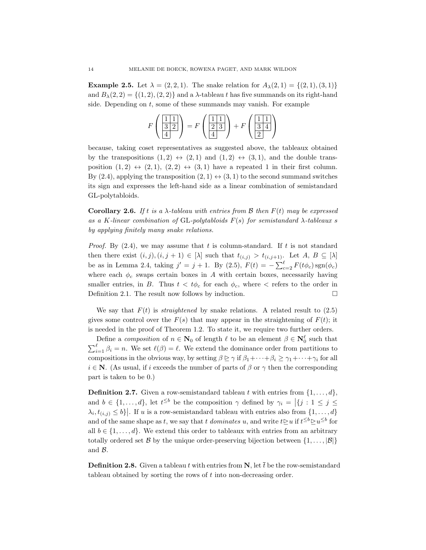**Example 2.5.** Let  $\lambda = (2, 2, 1)$ . The snake relation for  $A_{\lambda}(2, 1) = \{(2, 1), (3, 1)\}\$ and  $B_\lambda(2, 2) = \{(1, 2), (2, 2)\}\$ and a  $\lambda$ -tableau t has five summands on its right-hand side. Depending on  $t$ , some of these summands may vanish. For example

$$
F\left(\frac{\boxed{1\ 1}}{\boxed{3\ 2}}\right) = F\left(\frac{\boxed{1\ 1}}{\boxed{2\ 3}}\right) + F\left(\frac{\boxed{1\ 1}}{\boxed{3\ 4}}\right)
$$

because, taking coset representatives as suggested above, the tableaux obtained by the transpositions  $(1, 2) \leftrightarrow (2, 1)$  and  $(1, 2) \leftrightarrow (3, 1)$ , and the double transposition  $(1, 2) \leftrightarrow (2, 1), (2, 2) \leftrightarrow (3, 1)$  have a repeated 1 in their first column. By (2.4), applying the transposition  $(2, 1) \leftrightarrow (3, 1)$  to the second summand switches its sign and expresses the left-hand side as a linear combination of semistandard GL-polytabloids.

**Corollary 2.6.** If t is a  $\lambda$ -tableau with entries from B then  $F(t)$  may be expressed as a K-linear combination of GL-polytabloids  $F(s)$  for semistandard  $\lambda$ -tableaux s by applying finitely many snake relations.

*Proof.* By  $(2.4)$ , we may assume that t is column-standard. If t is not standard then there exist  $(i, j), (i, j + 1) \in [\lambda]$  such that  $t_{(i, j)} > t_{(i, j+1)}$ . Let  $A, B \subseteq [\lambda]$ be as in Lemma 2.4, taking  $j' = j + 1$ . By (2.5),  $F(t) = -\sum_{c=2}^{\ell} F(t\phi_c) \text{sgn}(\phi_c)$ where each  $\phi_c$  swaps certain boxes in A with certain boxes, necessarily having smaller entries, in B. Thus  $t < t\phi_c$  for each  $\phi_c$ , where  $\epsilon$  refers to the order in Definition 2.1. The result now follows by induction.  $\Box$ 

We say that  $F(t)$  is *straightened* by snake relations. A related result to  $(2.5)$ gives some control over the  $F(s)$  that may appear in the straightening of  $F(t)$ ; it is needed in the proof of Theorem 1.2. To state it, we require two further orders.

Define a *composition* of  $n \in \mathbb{N}_0$  of length  $\ell$  to be an element  $\beta \in \mathbb{N}_0^{\ell}$  such that  $\sum_{i=1}^{\ell} \beta_i = n$ . We set  $\ell(\beta) = \ell$ . We extend the dominance order from partitions to compositions in the obvious way, by setting  $\beta \geq \gamma$  if  $\beta_1 + \cdots + \beta_i \geq \gamma_1 + \cdots + \gamma_i$  for all  $i \in \mathbb{N}$ . (As usual, if i exceeds the number of parts of  $\beta$  or  $\gamma$  then the corresponding part is taken to be 0.)

**Definition 2.7.** Given a row-semistandard tableau t with entries from  $\{1, \ldots, d\}$ , and  $b \in \{1, ..., d\}$ , let  $t^{\leq b}$  be the composition  $\gamma$  defined by  $\gamma_i = |\{j : 1 \leq j \leq j\}|$  $\lambda_i, t_{(i,j)} \leq b$ . If u is a row-semistandard tableau with entries also from  $\{1, \ldots, d\}$ and of the same shape as t, we say that t dominates u, and write  $t \geq u$  if  $t^{\leq b} \geq u^{\leq b}$  for all  $b \in \{1, \ldots, d\}$ . We extend this order to tableaux with entries from an arbitrary totally ordered set B by the unique order-preserving bijection between  $\{1, \ldots, |\mathcal{B}|\}$ and B.

**Definition 2.8.** Given a tableau t with entries from N, let  $\bar{t}$  be the row-semistandard tableau obtained by sorting the rows of t into non-decreasing order.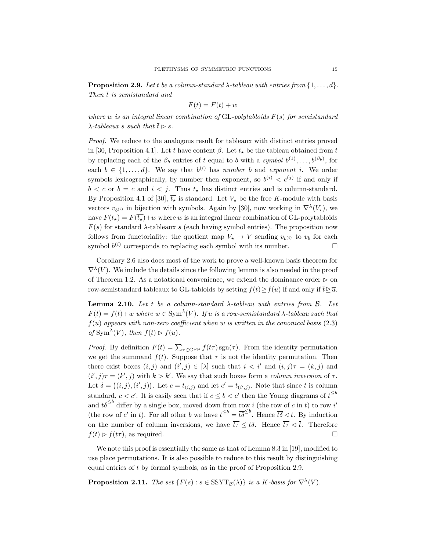**Proposition 2.9.** Let t be a column-standard  $\lambda$ -tableau with entries from  $\{1, \ldots, d\}$ . Then  $\bar{t}$  is semistandard and

$$
F(t) = F(\bar{t}) + w
$$

where w is an integral linear combination of  $GL$ -polytabloids  $F(s)$  for semistandard  $\lambda$ -tableaux s such that  $\overline{t} \triangleright s$ .

Proof. We reduce to the analogous result for tableaux with distinct entries proved in [30, Proposition 4.1]. Let t have content  $\beta$ . Let  $t_{\star}$  be the tableau obtained from t by replacing each of the  $\beta_b$  entries of t equal to b with a symbol  $b^{(1)}, \ldots, b^{(\beta_b)}$ , for each  $b \in \{1, ..., d\}$ . We say that  $b^{(i)}$  has number b and exponent i. We order symbols lexicographically, by number then exponent, so  $b^{(i)} < c^{(j)}$  if and only if  $b < c$  or  $b = c$  and  $i < j$ . Thus  $t_{\star}$  has distinct entries and is column-standard. By Proposition 4.1 of [30],  $\overline{t_{\star}}$  is standard. Let  $V_{\star}$  be the free K-module with basis vectors  $v_{b^{(i)}}$  in bijection with symbols. Again by [30], now working in  $\nabla^{\lambda}(V_{\star})$ , we have  $F(t_{\star}) = F(\overline{t_{\star}}) + w$  where w is an integral linear combination of GL-polytabloids  $F(s)$  for standard  $\lambda$ -tableaux s (each having symbol entries). The proposition now follows from functoriality: the quotient map  $V_{\star} \to V$  sending  $v_{b^{(i)}}$  to  $v_b$  for each symbol  $b^{(i)}$  corresponds to replacing each symbol with its number.

Corollary 2.6 also does most of the work to prove a well-known basis theorem for  $\nabla^{\lambda}(V)$ . We include the details since the following lemma is also needed in the proof of Theorem 1.2. As a notational convenience, we extend the dominance order  $\triangleright$  on row-semistandard tableaux to GL-tabloids by setting  $f(t) \geq f(u)$  if and only if  $\bar{t} \geq \bar{u}$ .

Lemma 2.10. Let t be a column-standard  $\lambda$ -tableau with entries from  $\beta$ . Let  $F(t) = f(t) + w$  where  $w \in \text{Sym}^{\lambda}(V)$ . If u is a row-semistandard  $\lambda$ -tableau such that  $f(u)$  appears with non-zero coefficient when w is written in the canonical basis (2.3) of  $\text{Sym}^{\lambda}(V)$ , then  $f(t) \triangleright f(u)$ .

*Proof.* By definition  $F(t) = \sum_{\tau \in \text{CPP}} f(t\tau) \operatorname{sgn}(\tau)$ . From the identity permutation we get the summand  $f(t)$ . Suppose that  $\tau$  is not the identity permutation. Then there exist boxes  $(i, j)$  and  $(i', j) \in [\lambda]$  such that  $i < i'$  and  $(i, j)\tau = (k, j)$  and  $(i', j)\tau = (k', j)$  with  $k > k'$ . We say that such boxes form a *column inversion* of  $\tau$ . Let  $\delta = ((i, j), (i', j))$ . Let  $c = t_{(i,j)}$  and let  $c' = t_{(i',j)}$ . Note that since t is column standard,  $c < c'$ . It is easily seen that if  $c \leq b < c'$  then the Young diagrams of  $\bar{t}^{\leq b}$ and  $\bar{t}\delta^{\leq b}$  differ by a single box, moved down from row i (the row of c in t) to row i' (the row of c' in t). For all other b we have  $\bar{t}^{\leq b} = t\bar{\delta}^{\leq b}$ . Hence  $\bar{t}\delta \leq \bar{t}$ . By induction on the number of column inversions, we have  $\overline{t} \tau \leq \overline{t} \delta$ . Hence  $\overline{t} \tau \leq \overline{t}$ . Therefore  $f(t) \triangleright f(t\tau)$ , as required.

We note this proof is essentially the same as that of Lemma 8.3 in [19], modified to use place permutations. It is also possible to reduce to this result by distinguishing equal entries of t by formal symbols, as in the proof of Proposition 2.9.

**Proposition 2.11.** The set  $\{F(s) : s \in \text{SSYT}_{\mathcal{B}}(\lambda)\}\$ is a K-basis for  $\nabla^{\lambda}(V)$ .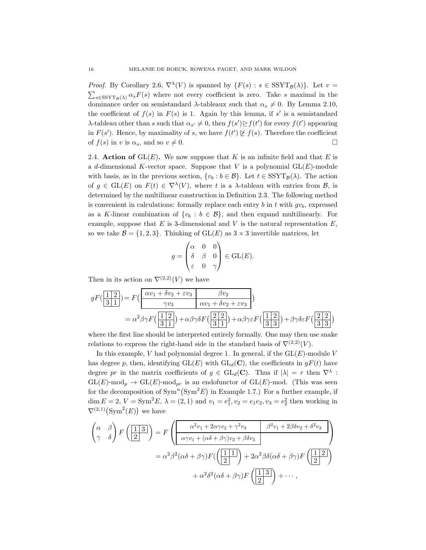*Proof.* By Corollary 2.6,  $\nabla^{\lambda}(V)$  is spanned by  $\{F(s) : s \in \text{SSYT}_{\mathcal{B}}(\lambda)\}\)$ . Let  $v =$  $\sum_{s \in \text{SSYT}_{\mathcal{B}}(\lambda)} \alpha_s F(s)$  where not every coefficient is zero. Take s maximal in the dominance order on semistandard  $\lambda$ -tableaux such that  $\alpha_s \neq 0$ . By Lemma 2.10, the coefficient of  $f(s)$  in  $F(s)$  is 1. Again by this lemma, if s' is a semistandard λ-tableau other than s such that  $\alpha_{s'} \neq 0$ , then  $f(s') \geq f(t')$  for every  $f(t')$  appearing in  $F(s')$ . Hence, by maximality of s, we have  $f(t') \not\subseteq f(s)$ . Therefore the coefficient of  $f(s)$  in v is  $\alpha_s$ , and so  $v \neq 0$ .

2.4. Action of  $GL(E)$ . We now suppose that K is an infinite field and that E is a d-dimensional K-vector space. Suppose that V is a polynomial  $GL(E)$ -module with basis, as in the previous section,  $\{v_b : b \in \mathcal{B}\}\$ . Let  $t \in \text{SSYT}_{\mathcal{B}}(\lambda)$ . The action of  $g \in GL(E)$  on  $F(t) \in \nabla^{\lambda}(V)$ , where t is a  $\lambda$ -tableau with entries from  $\mathcal{B}$ , is determined by the multilinear construction in Definition 2.3. The following method is convenient in calculations: formally replace each entry b in t with  $qv_b$ , expressed as a K-linear combination of  $\{v_b : b \in \mathcal{B}\}\$ , and then expand multilinearly. For example, suppose that  $E$  is 3-dimensional and  $V$  is the natural representation  $E$ , so we take  $\mathcal{B} = \{1, 2, 3\}$ . Thinking of  $GL(E)$  as  $3 \times 3$  invertible matrices, let

$$
g = \begin{pmatrix} \alpha & 0 & 0 \\ \delta & \beta & 0 \\ \varepsilon & 0 & \gamma \end{pmatrix} \in GL(E).
$$

Then in its action on  $\nabla^{(2,2)}(V)$  we have

$$
gF\left(\frac{1}{3}\frac{2}{1}\right) = F\left(\frac{\alpha v_1 + \delta v_2 + \varepsilon v_3}{\gamma v_3} \quad \frac{\beta v_2}{\alpha v_1 + \delta v_2 + \varepsilon v_3}\right)
$$

$$
= \alpha^2 \beta \gamma F\left(\frac{1}{3}\frac{2}{1}\right) + \alpha \beta \gamma \delta F\left(\frac{2}{3}\frac{2}{1}\right) + \alpha \beta \gamma \varepsilon F\left(\frac{1}{3}\frac{2}{3}\right) + \beta \gamma \delta \varepsilon F\left(\frac{2}{3}\frac{2}{3}\right)
$$

where the first line should be interpreted entirely formally. One may then use snake relations to express the right-hand side in the standard basis of  $\nabla^{(2,2)}(V)$ .

In this example, V had polynomial degree 1. In general, if the  $GL(E)$ -module V has degree p, then, identifying  $GL(E)$  with  $GL_d(\mathbf{C})$ , the coefficients in  $gF(t)$  have degree pr in the matrix coefficients of  $g \in GL_d(\mathbb{C})$ . Thus if  $|\lambda| = r$  then  $\nabla^{\lambda}$ :  $GL(E)$ -mod<sub>n</sub>  $\rightarrow GL(E)$ -mod<sub>nr</sub> is an endofunctor of  $GL(E)$ -mod. (This was seen for the decomposition of  $\text{Sym}^n(\text{Sym}^2 E)$  in Example 1.7.) For a further example, if dim  $E = 2$ ,  $V = \text{Sym}^2 E$ ,  $\lambda = (2, 1)$  and  $v_1 = e_1^2$ ,  $v_2 = e_1 e_2$ ,  $v_3 = e_2^2$  then working in  $\nabla^{(2,1)}(\text{Sym}^2(E))$  we have

$$
\begin{pmatrix}\n\alpha & \beta \\
\gamma & \delta\n\end{pmatrix} F\left(\frac{1}{2}\right) = F\left(\frac{\alpha^2 v_1 + 2\alpha \gamma v_2 + \gamma^2 v_3}{\alpha \gamma v_1 + (\alpha \delta + \beta \gamma) v_2 + \beta \delta v_3} \frac{\beta^2 v_1 + 2\beta \delta v_2 + \delta^2 v_3}{\beta^2 v_1 + 2\beta \delta v_2 + \beta \delta v_3}\right)
$$
\n
$$
= \alpha^2 \beta^2 (\alpha \delta + \beta \gamma) F\left(\frac{1}{2}\right) + 2\alpha^2 \beta \delta (\alpha \delta + \beta \gamma) F\left(\frac{1}{2}\right)
$$
\n
$$
+ \alpha^2 \delta^2 (\alpha \delta + \beta \gamma) F\left(\frac{1}{2}\right) + \cdots,
$$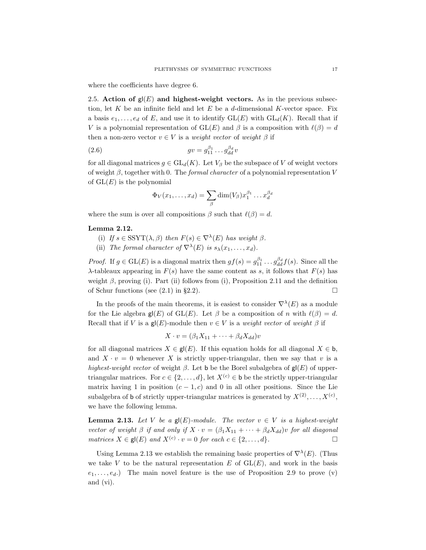where the coefficients have degree 6.

2.5. Action of  $g(E)$  and highest-weight vectors. As in the previous subsection, let K be an infinite field and let E be a d-dimensional K-vector space. Fix a basis  $e_1, \ldots, e_d$  of E, and use it to identify  $GL(E)$  with  $GL_d(K)$ . Recall that if V is a polynomial representation of  $GL(E)$  and  $\beta$  is a composition with  $\ell(\beta) = d$ then a non-zero vector  $v \in V$  is a weight vector of weight  $\beta$  if

(2.6) gv = g β<sup>1</sup> <sup>11</sup> . . . g β<sup>d</sup> dd v

for all diagonal matrices  $g \in GL_d(K)$ . Let  $V_\beta$  be the subspace of V of weight vectors of weight  $\beta$ , together with 0. The *formal character* of a polynomial representation V of  $GL(E)$  is the polynomial

$$
\Phi_V(x_1,\ldots,x_d)=\sum_\beta \dim(V_\beta)x_1^{\beta_1}\ldots x_d^{\beta_d}
$$

where the sum is over all compositions  $\beta$  such that  $\ell(\beta) = d$ .

#### Lemma 2.12.

- (i) If  $s \in \text{SSYT}(\lambda, \beta)$  then  $F(s) \in \nabla^{\lambda}(E)$  has weight  $\beta$ .
- (ii) The formal character of  $\nabla^{\lambda}(E)$  is  $s_{\lambda}(x_1,\ldots,x_d)$ .

*Proof.* If  $g \in GL(E)$  is a diagonal matrix then  $gf(s) = g_{11}^{\beta_1} \dots g_{dd}^{\beta_d} f(s)$ . Since all the λ-tableaux appearing in  $F(s)$  have the same content as s, it follows that  $F(s)$  has weight  $\beta$ , proving (i). Part (ii) follows from (i), Proposition 2.11 and the definition of Schur functions (see  $(2.1)$  in §2.2).

In the proofs of the main theorems, it is easiest to consider  $\nabla^{\lambda}(E)$  as a module for the Lie algebra  $\mathsf{g}(\mathsf{E})$  of  $\mathrm{GL}(E)$ . Let  $\beta$  be a composition of n with  $\ell(\beta) = d$ . Recall that if V is a gl(E)-module then  $v \in V$  is a weight vector of weight  $\beta$  if

$$
X \cdot v = (\beta_1 X_{11} + \dots + \beta_d X_{dd})v
$$

for all diagonal matrices  $X \in \mathsf{gl}(E)$ . If this equation holds for all diagonal  $X \in \mathsf{b}$ , and  $X \cdot v = 0$  whenever X is strictly upper-triangular, then we say that v is a highest-weight vector of weight  $\beta$ . Let b be the Borel subalgebra of  $g(f)$  of uppertriangular matrices. For  $c \in \{2, \ldots, d\}$ , let  $X^{(c)} \in \mathbf{b}$  be the strictly upper-triangular matrix having 1 in position  $(c - 1, c)$  and 0 in all other positions. Since the Lie subalgebra of **b** of strictly upper-triangular matrices is generated by  $X^{(2)}, \ldots, X^{(c)}$ , we have the following lemma.

**Lemma 2.13.** Let V be a  $g(E)$ -module. The vector  $v \in V$  is a highest-weight vector of weight  $\beta$  if and only if  $X \cdot v = (\beta_1 X_{11} + \cdots + \beta_d X_{dd})v$  for all diagonal matrices  $X \in \mathsf{gl}(E)$  and  $X^{(c)} \cdot v = 0$  for each  $c \in \{2, \ldots, d\}$ .

Using Lemma 2.13 we establish the remaining basic properties of  $\nabla^{\lambda}(E)$ . (Thus we take V to be the natural representation E of  $GL(E)$ , and work in the basis  $e_1, \ldots, e_d$ .) The main novel feature is the use of Proposition 2.9 to prove (v) and (vi).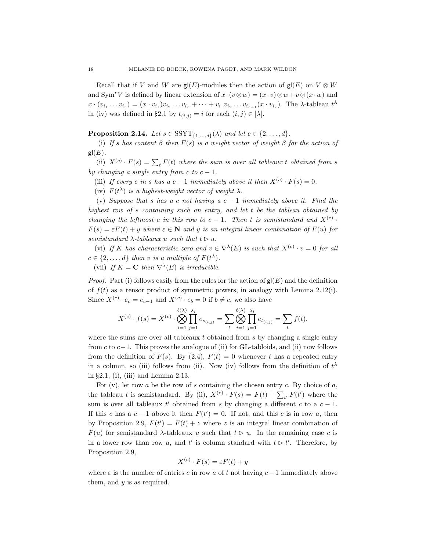Recall that if V and W are  $\mathsf{g}(\mathsf{E})$ -modules then the action of  $\mathsf{g}(\mathsf{E})$  on  $V \otimes W$ and Sym<sup>r</sup>V is defined by linear extension of  $x \cdot (v \otimes w) = (x \cdot v) \otimes w + v \otimes (x \cdot w)$  and  $x \cdot (v_{i_1} \ldots v_{i_r}) = (x \cdot v_{i_1})v_{i_2} \ldots v_{i_r} + \cdots + v_{i_1}v_{i_2} \ldots v_{i_{r-1}}(x \cdot v_{i_r}).$  The  $\lambda$ -tableau  $t^{\lambda}$ in (iv) was defined in §2.1 by  $t_{(i,j)} = i$  for each  $(i, j) \in [\lambda]$ .

**Proposition 2.14.** Let  $s \in \text{SSYT}_{\{1,\ldots,d\}}(\lambda)$  and let  $c \in \{2,\ldots,d\}.$ 

(i) If s has content  $\beta$  then  $F(s)$  is a weight vector of weight  $\beta$  for the action of  $gl(E)$ .

(ii)  $X^{(c)} \cdot F(s) = \sum_t F(t)$  where the sum is over all tableaux t obtained from s by changing a single entry from c to  $c - 1$ .

(iii) If every c in s has a c – 1 immediately above it then  $X^{(c)} \cdot F(s) = 0$ .

(iv)  $F(t^{\lambda})$  is a highest-weight vector of weight  $\lambda$ .

(v) Suppose that s has a c not having a  $c - 1$  immediately above it. Find the highest row of s containing such an entry, and let t be the tableau obtained by changing the leftmost c in this row to  $c-1$ . Then t is semistandard and  $X^{(c)}$ .  $F(s) = \varepsilon F(t) + y$  where  $\varepsilon \in \mathbb{N}$  and y is an integral linear combination of  $F(u)$  for semistandard  $\lambda$ -tableaux u such that  $t \triangleright u$ .

(vi) If K has characteristic zero and  $v \in \nabla^{\lambda}(E)$  is such that  $X^{(c)} \cdot v = 0$  for all  $c \in \{2, \ldots, d\}$  then v is a multiple of  $F(t^{\lambda})$ .

(vii) If  $K = \mathbf{C}$  then  $\nabla^{\lambda}(E)$  is irreducible.

*Proof.* Part (i) follows easily from the rules for the action of  $g(E)$  and the definition of  $f(t)$  as a tensor product of symmetric powers, in analogy with Lemma 2.12(i). Since  $X^{(c)} \cdot e_c = e_{c-1}$  and  $X^{(c)} \cdot e_b = 0$  if  $b \neq c$ , we also have

$$
X^{(c)} \cdot f(s) = X^{(c)} \cdot \bigotimes_{i=1}^{\ell(\lambda)} \prod_{j=1}^{\lambda_i} e_{s_{(i,j)}} = \sum_{t} \bigotimes_{i=1}^{\ell(\lambda)} \prod_{j=1}^{\lambda_i} e_{t_{(i,j)}} = \sum_{t} f(t).
$$

where the sums are over all tableaux  $t$  obtained from  $s$  by changing a single entry from c to  $c-1$ . This proves the analogue of (ii) for GL-tabloids, and (ii) now follows from the definition of  $F(s)$ . By (2.4),  $F(t) = 0$  whenever t has a repeated entry in a column, so (iii) follows from (ii). Now (iv) follows from the definition of  $t^{\lambda}$ in §2.1, (i), (iii) and Lemma 2.13.

For  $(v)$ , let row a be the row of s containing the chosen entry c. By choice of  $a$ , the tableau t is semistandard. By (ii),  $X^{(c)} \cdot F(s) = F(t) + \sum_{t'} F(t')$  where the sum is over all tableaux  $t'$  obtained from s by changing a different c to a  $c - 1$ . If this c has a  $c - 1$  above it then  $F(t') = 0$ . If not, and this c is in row a, then by Proposition 2.9,  $F(t') = F(t) + z$  where z is an integral linear combination of  $F(u)$  for semistandard  $\lambda$ -tableaux u such that  $t \geq u$ . In the remaining case c is in a lower row than row a, and t' is column standard with  $t \triangleright t'$ . Therefore, by Proposition 2.9,

$$
X^{(c)} \cdot F(s) = \varepsilon F(t) + y
$$

where  $\varepsilon$  is the number of entries c in row a of t not having  $c-1$  immediately above them, and  $y$  is as required.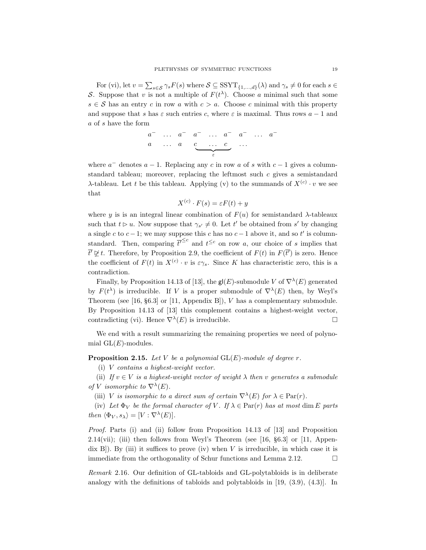For (vi), let  $v = \sum_{s \in \mathcal{S}} \gamma_s F(s)$  where  $\mathcal{S} \subseteq \text{SSYT}_{\{1,\ldots,d\}}(\lambda)$  and  $\gamma_s \neq 0$  for each  $s \in$ S. Suppose that v is not a multiple of  $F(t^{\lambda})$ . Choose a minimal such that some  $s \in \mathcal{S}$  has an entry c in row a with  $c > a$ . Choose c minimal with this property and suppose that s has  $\varepsilon$  such entries c, where  $\varepsilon$  is maximal. Thus rows  $a - 1$  and a of s have the form

$$
\begin{array}{ccccccccc}\na^- & \dots & a^- & a^- & \dots & a^- & a^- & \dots & a^- \\
a & \dots & a & \underbrace{\bullet & \dots & c}_{\varepsilon} & \dots & \end{array}
$$

where  $a^-$  denotes  $a - 1$ . Replacing any c in row a of s with  $c - 1$  gives a columnstandard tableau; moreover, replacing the leftmost such c gives a semistandard  $\lambda$ -tableau. Let t be this tableau. Applying (v) to the summands of  $X^{(c)} \cdot v$  we see that

$$
X^{(c)} \cdot F(s) = \varepsilon F(t) + y
$$

where y is is an integral linear combination of  $F(u)$  for semistandard  $\lambda$ -tableaux such that  $t \triangleright u$ . Now suppose that  $\gamma_{s'} \neq 0$ . Let t' be obtained from s' by changing a single c to  $c-1$ ; we may suppose this c has no  $c-1$  above it, and so t' is columnstandard. Then, comparing  $\overline{t}^{\leq c}$  and  $t^{\leq c}$  on row a, our choice of s implies that  $\overline{t'} \not\trianglerighteq t$ . Therefore, by Proposition 2.9, the coefficient of  $F(t)$  in  $F(\overline{t'})$  is zero. Hence the coefficient of  $F(t)$  in  $X^{(c)} \cdot v$  is  $\varepsilon \gamma_s$ . Since K has characteristic zero, this is a contradiction.

Finally, by Proposition 14.13 of [13], the  $\mathsf{gl}(E)$ -submodule V of  $\nabla^{\lambda}(E)$  generated by  $F(t^{\lambda})$  is irreducible. If V is a proper submodule of  $\nabla^{\lambda}(E)$  then, by Weyl's Theorem (see [16,  $\S 6.3$ ] or [11, Appendix B]), V has a complementary submodule. By Proposition 14.13 of [13] this complement contains a highest-weight vector, contradicting (vi). Hence  $\nabla^{\lambda}(E)$  is irreducible.

We end with a result summarizing the remaining properties we need of polynomial  $GL(E)$ -modules.

**Proposition 2.15.** Let V be a polynomial  $GL(E)$ -module of degree r.

(i) V contains a highest-weight vector.

(ii) If  $v \in V$  is a highest-weight vector of weight  $\lambda$  then v generates a submodule of V isomorphic to  $\nabla^{\lambda}(E)$ .

(iii) V is isomorphic to a direct sum of certain  $\nabla^{\lambda}(E)$  for  $\lambda \in \text{Par}(r)$ .

(iv) Let  $\Phi_V$  be the formal character of V. If  $\lambda \in \text{Par}(r)$  has at most dim E parts then  $\langle \Phi_V , s_\lambda \rangle = [V : \nabla^\lambda(E)].$ 

Proof. Parts (i) and (ii) follow from Proposition 14.13 of [13] and Proposition 2.14(vii); (iii) then follows from Weyl's Theorem (see  $[16, §6.3]$  or  $[11, Appen$ dix  $B$ ). By (iii) it suffices to prove (iv) when V is irreducible, in which case it is immediate from the orthogonality of Schur functions and Lemma 2.12.  $\Box$ 

Remark 2.16. Our definition of GL-tabloids and GL-polytabloids is in deliberate analogy with the definitions of tabloids and polytabloids in [19, (3.9), (4.3)]. In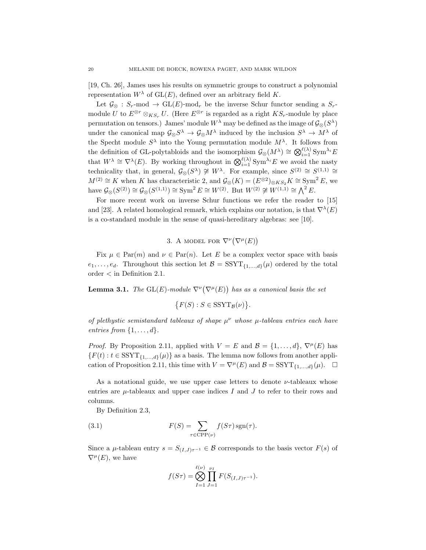[19, Ch. 26], James uses his results on symmetric groups to construct a polynomial representation  $W^{\lambda}$  of  $GL(E)$ , defined over an arbitrary field K.

Let  $\mathcal{G}_{\otimes}$  : S<sub>r</sub>-mod  $\rightarrow$  GL(E)-mod<sub>r</sub> be the inverse Schur functor sending a S<sub>r</sub>module U to  $E^{\otimes r} \otimes_{KS_r} U$ . (Here  $E^{\otimes r}$  is regarded as a right  $KS_r$ -module by place permutation on tensors.) James' module  $W^{\lambda}$  may be defined as the image of  $\mathcal{G}_{\otimes}(S^{\lambda})$ under the canonical map  $\mathcal{G}_{\otimes} S^{\lambda} \to \mathcal{G}_{\otimes} M^{\lambda}$  induced by the inclusion  $S^{\lambda} \to M^{\lambda}$  of the Specht module  $S^{\lambda}$  into the Young permutation module  $M^{\lambda}$ . It follows from the definition of GL-polytabloids and the isomorphism  $\mathcal{G}_{\otimes}(M^{\lambda}) \cong \bigotimes_{i=1}^{\ell(\lambda)} \text{Sym}^{\lambda_i}E$ that  $W^{\lambda} \cong \nabla^{\lambda}(E)$ . By working throughout in  $\bigotimes_{i=1}^{\ell(\lambda)} \text{Sym}^{\lambda_i}E$  we avoid the nasty technicality that, in general,  $\mathcal{G}_{\otimes}(S^{\lambda}) \ncong W^{\lambda}$ . For example, since  $S^{(2)} \cong S^{(1,1)} \cong$  $M^{(2)} \cong K$  when K has characteristic 2, and  $\mathcal{G}_{\otimes}(K) = (E^{\otimes 2})_{\otimes KS_2}K \cong \text{Sym}^2 E$ , we have  $\mathcal{G}_{\otimes}(S^{(2)}) \cong \mathcal{G}_{\otimes}(S^{(1,1)}) \cong \text{Sym}^2 E \cong W^{(2)}$ . But  $W^{(2)} \ncong W^{(1,1)} \cong \bigwedge^2 E$ .

For more recent work on inverse Schur functions we refer the reader to [15] and [23]. A related homological remark, which explains our notation, is that  $\nabla^{\lambda}(E)$ is a co-standard module in the sense of quasi-hereditary algebras: see [10].

3. A MODEL FOR  $\nabla^{\nu}(\nabla^{\mu}(E))$ 

Fix  $\mu \in \text{Par}(m)$  and  $\nu \in \text{Par}(n)$ . Let E be a complex vector space with basis  $e_1, \ldots, e_d$ . Throughout this section let  $\mathcal{B} = \text{SSYT}_{\{1,\ldots,d\}}(\mu)$  ordered by the total order < in Definition 2.1.

**Lemma 3.1.** The  $GL(E)$ -module  $\nabla^{\nu}(\nabla^{\mu}(E))$  has as a canonical basis the set

$$
\big\{F(S): S \in \text{SSYT}_{\mathcal{B}}(\nu)\big\}.
$$

of plethystic semistandard tableaux of shape  $\mu^{\nu}$  whose  $\mu$ -tableau entries each have entries from  $\{1, \ldots, d\}$ .

*Proof.* By Proposition 2.11, applied with  $V = E$  and  $\mathcal{B} = \{1, \ldots, d\}, \nabla^{\mu}(E)$  has  ${F(t): t \in \text{SSYT}_{\{1,\ldots,d\}}(\mu)}$  as a basis. The lemma now follows from another application of Proposition 2.11, this time with  $V = \nabla^{\mu}(E)$  and  $\mathcal{B} = \text{SSYT}_{\{1,\dots,d\}}(\mu)$ .  $\Box$ 

As a notational guide, we use upper case letters to denote  $\nu$ -tableaux whose entries are  $\mu$ -tableaux and upper case indices I and J to refer to their rows and columns.

By Definition 2.3,

(3.1) 
$$
F(S) = \sum_{\tau \in \text{CPP}(\nu)} f(S\tau) \operatorname{sgn}(\tau).
$$

Since a  $\mu$ -tableau entry  $s = S_{(I,J)\tau^{-1}} \in \mathcal{B}$  corresponds to the basis vector  $F(s)$  of  $\nabla^{\mu}(E)$ , we have

$$
f(S\tau) = \bigotimes_{I=1}^{\ell(\nu)} \prod_{J=1}^{\nu_I} F(S_{(I,J)\tau^{-1}}).
$$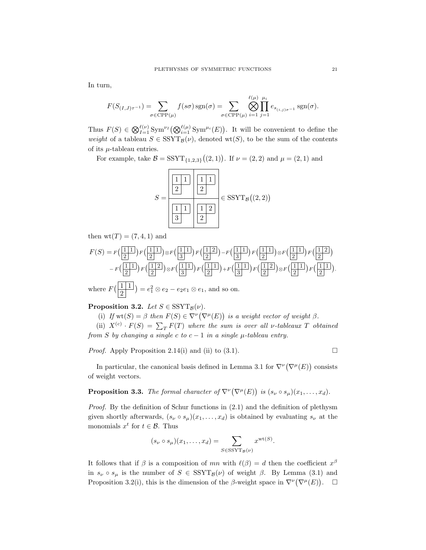In turn,

$$
F(S_{(I,J)\tau^{-1}}) = \sum_{\sigma \in \text{CPP}(\mu)} f(s\sigma) \operatorname{sgn}(\sigma) = \sum_{\sigma \in \text{CPP}(\mu)} \bigotimes_{i=1}^{\ell(\mu)} \prod_{j=1}^{\mu_i} e_{s_{(i,j)\sigma^{-1}}} \operatorname{sgn}(\sigma).
$$

Thus  $F(S) \in \bigotimes_{I=1}^{\ell(\nu)} \text{Sym}^{\nu_I}(\bigotimes_{i=1}^{\ell(\mu)} \text{Sym}^{\mu_i}(E)).$  It will be convenient to define the weight of a tableau  $S \in \text{SSYT}_{\mathcal{B}}(\nu)$ , denoted wt(S), to be the sum of the contents of its  $\mu$ -tableau entries.

For example, take  $\mathcal{B} = \text{SSYT}_{\{1,2,3\}}((2,1))$ . If  $\nu = (2,2)$  and  $\mu = (2,1)$  and



then  $wt(T) = (7, 4, 1)$  and

$$
F(S) = F\left(\frac{1}{2}\right) F\left(\frac{1}{2}\right) \otimes F\left(\frac{1}{3}\right) F\left(\frac{1}{2}\right) - F\left(\frac{1}{3}\right) F\left(\frac{1}{2}\right) \otimes F\left(\frac{1}{2}\right) F\left(\frac{1}{2}\right) \right)
$$

$$
- F\left(\frac{1}{2}\right) F\left(\frac{1}{2}\right) \otimes F\left(\frac{1}{3}\right) F\left(\frac{1}{2}\right) + F\left(\frac{1}{3}\right) F\left(\frac{1}{2}\right) \otimes F\left(\frac{1}{2}\right) F\left(\frac{1}{2}\right) \right)
$$

$$
= F\left(\frac{1}{2}\right) F\left(\frac{1}{2}\right) \otimes F\left(\frac{1}{3}\right) F\left(\frac{1}{2}\right) + F\left(\frac{1}{3}\right) F\left(\frac{1}{2}\right) \otimes F\left(\frac{1}{2}\right) F\left(\frac{1}{2}\right) \right).
$$
  
where  $F\left(\frac{1}{2}\right) = e_1^2 \otimes e_2 - e_2 e_1 \otimes e_1$ , and so on.

**Proposition 3.2.** Let  $S \in \text{SSYT}_{\mathcal{B}}(\nu)$ .

(i) If  $\text{wt}(S) = \beta$  then  $F(S) \in \nabla^{\nu}(\nabla^{\mu}(E))$  is a weight vector of weight  $\beta$ .

(ii)  $X^{(c)} \cdot F(S) = \sum_T F(T)$  where the sum is over all v-tableaux T obtained from S by changing a single c to  $c - 1$  in a single  $\mu$ -tableau entry.

*Proof.* Apply Proposition 2.14(i) and (ii) to (3.1).

In particular, the canonical basis defined in Lemma 3.1 for  $\nabla^{\nu}(\nabla^{\mu}(E))$  consists of weight vectors.

**Proposition 3.3.** The formal character of  $\nabla^{\nu}(\nabla^{\mu}(E))$  is  $(s_{\nu} \circ s_{\mu})(x_1, \ldots, x_d)$ .

*Proof.* By the definition of Schur functions in  $(2.1)$  and the definition of plethysm given shortly afterwards,  $(s_{\nu} \circ s_{\mu})(x_1, \ldots, x_d)$  is obtained by evaluating  $s_{\nu}$  at the monomials  $x^t$  for  $t \in \mathcal{B}$ . Thus

$$
(s_{\nu} \circ s_{\mu})(x_1, \dots, x_d) = \sum_{S \in \text{SSYT}_{\mathcal{B}}(\nu)} x^{\text{wt}(S)}.
$$

It follows that if  $\beta$  is a composition of mn with  $\ell(\beta) = d$  then the coefficient  $x^{\beta}$ in  $s_{\nu} \circ s_{\mu}$  is the number of  $S \in \text{SSYT}_{\mathcal{B}}(\nu)$  of weight  $\beta$ . By Lemma (3.1) and Proposition 3.2(i), this is the dimension of the  $\beta$ -weight space in  $\nabla^{\nu}(\nabla^{\mu}(E))$ .  $\Box$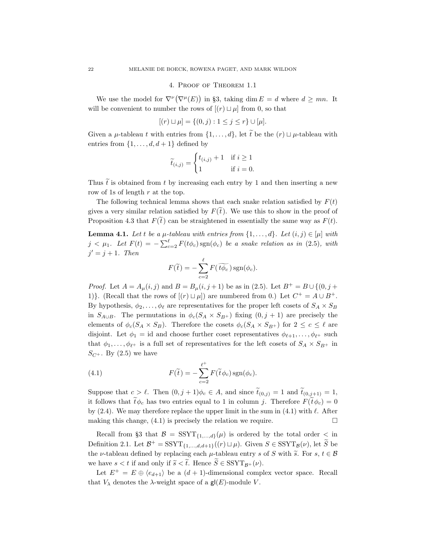#### 4. Proof of Theorem 1.1

We use the model for  $\nabla^{\nu}(\nabla^{\mu}(E))$  in §3, taking dim  $E = d$  where  $d \geq mn$ . It will be convenient to number the rows of  $[(r) \sqcup \mu]$  from 0, so that

$$
[(r) \sqcup \mu] = \{(0, j) : 1 \le j \le r\} \cup [\mu].
$$

Given a  $\mu$ -tableau t with entries from  $\{1, \ldots, d\}$ , let  $\tilde{t}$  be the  $(r) \sqcup \mu$ -tableau with entries from  $\{1, \ldots, d, d+1\}$  defined by

$$
\widetilde{t}_{(i,j)} = \begin{cases} t_{(i,j)} + 1 & \text{if } i \ge 1 \\ 1 & \text{if } i = 0. \end{cases}
$$

Thus  $\tilde{t}$  is obtained from t by increasing each entry by 1 and then inserting a new row of 1s of length  $r$  at the top.

The following technical lemma shows that each snake relation satisfied by  $F(t)$ gives a very similar relation satisfied by  $F(\tilde{t})$ . We use this to show in the proof of Proposition 4.3 that  $F(\tilde{t})$  can be straightened in essentially the same way as  $F(t)$ .

**Lemma 4.1.** Let t be a  $\mu$ -tableau with entries from  $\{1, \ldots, d\}$ . Let  $(i, j) \in [\mu]$  with  $j < \mu_1$ . Let  $F(t) = -\sum_{c=2}^{\ell} F(t\phi_c) \text{sgn}(\phi_c)$  be a snake relation as in (2.5), with  $j' = j + 1$ . Then

$$
F(\widetilde{t}) = -\sum_{c=2}^{\ell} F(\widetilde{t\phi_c}) \operatorname{sgn}(\phi_c).
$$

*Proof.* Let  $A = A_{\mu}(i, j)$  and  $B = B_{\mu}(i, j + 1)$  be as in (2.5). Let  $B^{+} = B \cup \{(0, j + 1)\}$ 1)}. (Recall that the rows of  $[(r) \sqcup \mu]$ ) are numbered from 0.) Let  $C^+ = A \cup B^+$ . By hypothesis,  $\phi_2, \ldots, \phi_\ell$  are representatives for the proper left cosets of  $S_A \times S_B$ in  $S_{A\cup B}$ . The permutations in  $\phi_c(S_A \times S_{B^+})$  fixing  $(0, j + 1)$  are precisely the elements of  $\phi_c(S_A \times S_B)$ . Therefore the cosets  $\phi_c(S_A \times S_{B^+})$  for  $2 \leq c \leq \ell$  are disjoint. Let  $\phi_1 = id$  and choose further coset representatives  $\phi_{\ell+1}, \ldots, \phi_{\ell^+}$  such that  $\phi_1, \ldots, \phi_{\ell^+}$  is a full set of representatives for the left cosets of  $S_A \times S_{B^+}$  in  $S_{C^+}$ . By (2.5) we have

(4.1) 
$$
F(\widetilde{t}) = -\sum_{c=2}^{\ell^+} F(\widetilde{t} \phi_c) \operatorname{sgn}(\phi_c).
$$

Suppose that  $c > \ell$ . Then  $(0, j + 1)\phi_c \in A$ , and since  $\tilde{t}_{(0,j)} = 1$  and  $\tilde{t}_{(0,j+1)} = 1$ , it follows that  $t\phi_c$  has two entries equal to 1 in column j. Therefore  $F(t\phi_c) = 0$ by  $(2.4)$ . We may therefore replace the upper limit in the sum in  $(4.1)$  with  $\ell$ . After making this change,  $(4.1)$  is precisely the relation we require.

Recall from §3 that  $\mathcal{B} = \text{SSYT}_{\{1,\ldots,d\}}(\mu)$  is ordered by the total order  $\lt$  in Definition 2.1. Let  $\mathcal{B}^+$  = SSYT<sub>{1,...,d,d+1}</sub>((r)  $\Box \mu$ ). Given  $S \in \mathrm{SSYT}_{\mathcal{B}}(\nu)$ , let  $\widetilde{S}$  be the *v*-tableau defined by replacing each  $\mu$ -tableau entry s of S with  $\tilde{s}$ . For s,  $t \in \mathcal{B}$ we have  $s < t$  if and only if  $\widetilde{s} < \widetilde{t}$ . Hence  $S \in \mathrm{SSYT}_{R^+}(\nu)$ .

Let  $E^+ = E \oplus \langle e_{d+1} \rangle$  be a  $(d+1)$ -dimensional complex vector space. Recall that  $V_{\lambda}$  denotes the  $\lambda$ -weight space of a gl(E)-module V.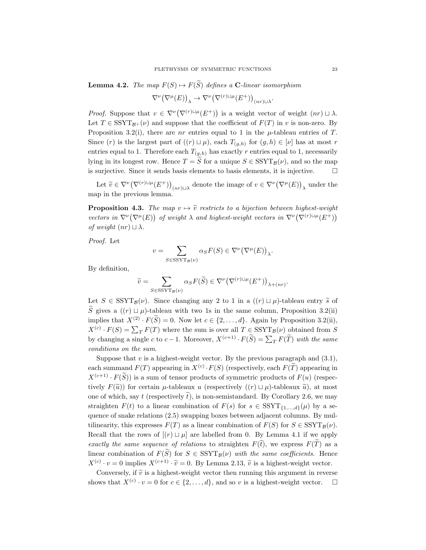$$
\nabla^{\nu} (\nabla^{\mu} (E))_{\lambda} \to \nabla^{\nu} (\nabla^{(r) \sqcup \mu} (E^{+}))_{(nr) \sqcup \lambda}.
$$

*Proof.* Suppose that  $v \in \nabla^{\nu}(\nabla^{(r)} \cup \mu(E^+))$  is a weight vector of weight  $(nr) \cup \lambda$ . Let  $T \in \text{SSYT}_{\mathcal{B}^+}(\nu)$  and suppose that the coefficient of  $F(T)$  in v is non-zero. By Proposition 3.2(i), there are nr entries equal to 1 in the  $\mu$ -tableau entries of T. Since (r) is the largest part of  $((r) \sqcup \mu)$ , each  $T_{(g,h)}$  for  $(g,h) \in [\nu]$  has at most r entries equal to 1. Therefore each  $T_{(g,h)}$  has exactly r entries equal to 1, necessarily lying in its longest row. Hence  $T = \tilde{S}$  for a unique  $S \in \text{SSYT}_{\mathcal{B}}(\nu)$ , and so the map is surjective. Since it sends basis elements to basis elements, it is injective. is surjective. Since it sends basis elements to basis elements, it is injective.

Let  $\widetilde{v} \in \nabla^{\nu} (\nabla^{(r) \sqcup \mu} (E^+))_{(nr) \sqcup \lambda}$  denote the image of  $v \in \nabla^{\nu} (\nabla^{\mu} (E))_{\lambda}$  under the map in the previous lemma.

**Proposition 4.3.** The map  $v \mapsto \tilde{v}$  restricts to a bijection between highest-weight vectors in  $\nabla^{\nu}(\nabla^{\mu}(E))$  of weight  $\lambda$  and highest-weight vectors in  $\nabla^{\nu}(\nabla^{(r)\sqcup\mu}(E^+))$ of weight  $(nr) \sqcup \lambda$ .

Proof. Let

$$
v = \sum_{S \in \text{SSYT}_{\mathcal{B}}(\nu)} \alpha_S F(S) \in \nabla^{\nu} (\nabla^{\mu} (E))_{\lambda}.
$$

By definition,

$$
\widetilde{v}=\sum_{S\in \mathrm{SSYT}_{\mathcal{B}}(\nu)}\alpha_S F(\widetilde{S})\in \nabla^{\nu}\big(\nabla^{(r)\sqcup\mu}(E^+)\big)_{\lambda+(nr)}.
$$

Let  $S \in \text{SSYT}_{\mathcal{B}}(\nu)$ . Since changing any 2 to 1 in a  $((r) \sqcup \mu)$ -tableau entry  $\tilde{s}$  of  $\widetilde{S}$  gives a  $((r) \sqcup \mu)$ -tableau with two 1s in the same column, Proposition 3.2(ii) implies that  $X^{(2)} \cdot F(S) = 0$ . Now let  $c \in \{2, ..., d\}$ . Again by Proposition 3.2(ii),  $X^{(c)} \cdot F(S) = \sum_T F(T)$  where the sum is over all  $T \in \text{SSYT}_{\mathcal{B}}(\nu)$  obtained from S by changing a single c to  $c-1$ . Moreover,  $X^{(c+1)} \cdot F(S) = \sum_T F(T)$  with the same conditions on the sum.

Suppose that  $v$  is a highest-weight vector. By the previous paragraph and  $(3.1)$ , each summand  $F(T)$  appearing in  $X^{(c)} \cdot F(S)$  (respectively, each  $F(T)$  appearing in  $X^{(c+1)} \cdot F(S)$ ) is a sum of tensor products of symmetric products of  $F(u)$  (respectively  $F(\tilde{u})$  for certain  $\mu$ -tableaux u (respectively  $((r) \sqcup \mu)$ -tableaux  $\tilde{u}$ ), at most one of which, say t (respectively  $\tilde{t}$ ), is non-semistandard. By Corollary 2.6, we may straighten  $F(t)$  to a linear combination of  $F(s)$  for  $s \in \text{SSYT}_{\{1,\ldots,d\}}(\mu)$  by a sequence of snake relations (2.5) swapping boxes between adjacent columns. By multilinearity, this expresses  $F(T)$  as a linear combination of  $F(S)$  for  $S \in \text{SSYT}_{\mathcal{B}}(\nu)$ . Recall that the rows of  $[(r) \sqcup \mu]$  are labelled from 0. By Lemma 4.1 if we apply exactly the same sequence of relations to straighten  $F(\tilde{t})$ , we express  $F(\tilde{T})$  as a linear combination of  $F(S)$  for  $S \in \text{SSYT}_{\mathcal{B}}(\nu)$  with the same coefficients. Hence  $X^{(c)} \cdot v = 0$  implies  $X^{(c+1)} \cdot \widetilde{v} = 0$ . By Lemma 2.13,  $\widetilde{v}$  is a highest-weight vector.

Conversely, if  $\tilde{v}$  is a highest-weight vector then running this argument in reverse<br>ows that  $X^{(c)} \cdot v = 0$  for  $c \in \{2, ..., d\}$ , and so v is a highest-weight vector.  $\square$ shows that  $X^{(c)} \cdot v = 0$  for  $c \in \{2, ..., d\}$ , and so v is a highest-weight vector.  $\Box$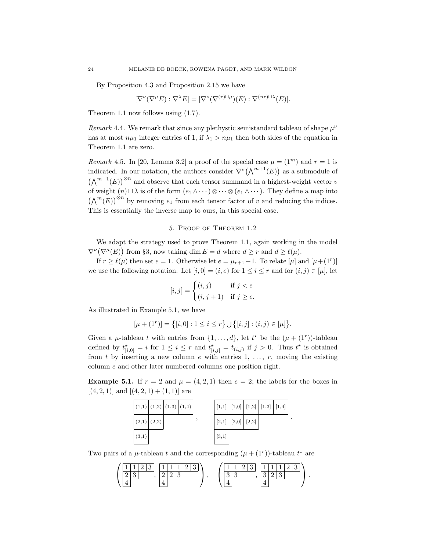By Proposition 4.3 and Proposition 2.15 we have

$$
[\nabla^{\nu}(\nabla^{\mu}E) : \nabla^{\lambda}E] = [\nabla^{\nu}(\nabla^{(r)\sqcup\mu})(E) : \nabla^{(nr)\sqcup\lambda}(E)].
$$

Theorem 1.1 now follows using (1.7).

Remark 4.4. We remark that since any plethystic semistandard tableau of shape  $\mu^{\nu}$ has at most  $n\mu_1$  integer entries of 1, if  $\lambda_1 > n\mu_1$  then both sides of the equation in Theorem 1.1 are zero.

Remark 4.5. In [20, Lemma 3.2] a proof of the special case  $\mu = (1^m)$  and  $r = 1$  is indicated. In our notation, the authors consider  $\nabla^{\nu}(\Lambda^{m+1}(E))$  as a submodule of  $(\bigwedge^{m+1}(E))^{\otimes n}$  and observe that each tensor summand in a highest-weight vector v of weight  $(n) \sqcup \lambda$  is of the form  $(e_1 \wedge \cdots) \otimes \cdots \otimes (e_1 \wedge \cdots)$ . They define a map into  $(\bigwedge^m(E))^{\otimes n}$  by removing  $e_1$  from each tensor factor of v and reducing the indices. This is essentially the inverse map to ours, in this special case.

#### 5. Proof of Theorem 1.2

We adapt the strategy used to prove Theorem 1.1, again working in the model  $\nabla^{\nu}(\nabla^{\mu}(E))$  from §3, now taking dim  $E = d$  where  $d \geq r$  and  $d \geq \ell(\mu)$ .

If  $r \ge \ell(\mu)$  then set  $e = 1$ . Otherwise let  $e = \mu_{r+1} + 1$ . To relate  $[\mu]$  and  $[\mu + (1^r)]$ we use the following notation. Let  $[i, 0] = (i, e)$  for  $1 \le i \le r$  and for  $(i, j) \in [\mu]$ , let

$$
[i,j] = \begin{cases} (i,j) & \text{if } j < e \\ (i,j+1) & \text{if } j \ge e. \end{cases}
$$

As illustrated in Example 5.1, we have

$$
[\mu + (1^r)] = \{ [i, 0] : 1 \le i \le r \} \cup \{ [i, j] : (i, j) \in [\mu] \}.
$$

Given a  $\mu$ -tableau t with entries from  $\{1, \ldots, d\}$ , let  $t^*$  be the  $(\mu + (1^r))$ -tableau defined by  $t_{[i,0]}^{\star} = i$  for  $1 \leq i \leq r$  and  $t_{[i,j]}^{\star} = t_{(i,j)}$  if  $j > 0$ . Thus  $t^{\star}$  is obtained from t by inserting a new column  $e$  with entries 1, ...,  $r$ , moving the existing column e and other later numbered columns one position right.

**Example 5.1.** If  $r = 2$  and  $\mu = (4, 2, 1)$  then  $e = 2$ ; the labels for the boxes in  $[(4, 2, 1)]$  and  $[(4, 2, 1) + (1, 1)]$  are



Two pairs of a  $\mu$ -tableau t and the corresponding  $(\mu + (1^r))$ -tableau t<sup>\*</sup> are

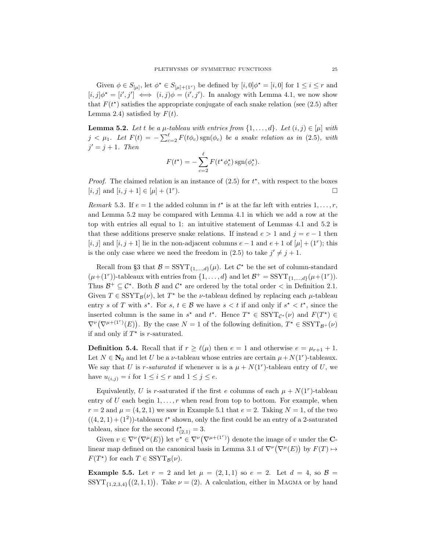Given  $\phi \in S_{\lbrack \mu \rbrack}$ , let  $\phi^* \in S_{\lbrack \mu \rbrack + (1^r)}$  be defined by  $[i,0] \phi^* = [i,0]$  for  $1 \leq i \leq r$  and  $[i, j] \phi^* = [i', j'] \iff (i, j) \phi = (i', j')$ . In analogy with Lemma 4.1, we now show that  $F(t^*)$  satisfies the appropriate conjugate of each snake relation (see (2.5) after Lemma 2.4) satisfied by  $F(t)$ .

**Lemma 5.2.** Let t be a  $\mu$ -tableau with entries from  $\{1, \ldots, d\}$ . Let  $(i, j) \in [\mu]$  with  $j < \mu_1$ . Let  $F(t) = -\sum_{c=2}^{\ell} F(t\phi_c) \text{sgn}(\phi_c)$  be a snake relation as in (2.5), with  $j' = j + 1$ . Then

$$
F(t^*) = -\sum_{c=2}^{\ell} F(t^* \phi_c^*) \operatorname{sgn}(\phi_c^*).
$$

*Proof.* The claimed relation is an instance of  $(2.5)$  for  $t^*$ , with respect to the boxes [*i*, *j*] and [*i*, *j* + 1]  $\in$  [ $\mu$ ] + (1<sup>r</sup>).  $\Box$ 

Remark 5.3. If  $e = 1$  the added column in  $t^*$  is at the far left with entries  $1, \ldots, r$ , and Lemma 5.2 may be compared with Lemma 4.1 in which we add a row at the top with entries all equal to 1: an intuitive statement of Lemmas 4.1 and 5.2 is that these additions preserve snake relations. If instead  $e > 1$  and  $j = e - 1$  then [i, j] and [i, j + 1] lie in the non-adjacent columns  $e-1$  and  $e+1$  of [ $\mu$ ] + (1<sup>r</sup>); this is the only case where we need the freedom in (2.5) to take  $j' \neq j + 1$ .

Recall from §3 that  $\mathcal{B} = \text{SSYT}_{\{1,\ldots,d\}}(\mu)$ . Let  $\mathcal{C}^*$  be the set of column-standard  $(\mu+(1^r))$ -tableaux with entries from  $\{1,\ldots,d\}$  and let  $\mathcal{B}^+=\mathrm{SSYT}_{\{1,\ldots,d\}}(\mu+(1^r)).$ Thus  $\mathcal{B}^+\subseteq \mathcal{C}^*$ . Both  $\mathcal B$  and  $\mathcal{C}^*$  are ordered by the total order  $\lt$  in Definition 2.1. Given  $T \in \mathrm{SSYT}_\mathcal{B}(\nu)$ , let  $T^\star$  be the  $\nu$ -tableau defined by replacing each  $\mu$ -tableau entry s of T with  $s^*$ . For  $s, t \in \mathcal{B}$  we have  $s < t$  if and only if  $s^* < t^*$ , since the inserted column is the same in  $s^*$  and  $t^*$ . Hence  $T^* \in \text{SSYT}_{\mathcal{C}^*}(\nu)$  and  $F(T^*) \in$  $\nabla^{\nu}(\nabla^{\mu+(1^{r})}(E))$ . By the case  $N=1$  of the following definition,  $T^{\star} \in \mathrm{SSYT}_{\mathcal{B}^+}(\nu)$ if and only if  $T^*$  is r-saturated.

**Definition 5.4.** Recall that if  $r \geq \ell(\mu)$  then  $e = 1$  and otherwise  $e = \mu_{r+1} + 1$ . Let  $N \in \mathbb{N}_0$  and let U be a *ν*-tableau whose entries are certain  $\mu + N(1^r)$ -tableaux. We say that U is r-saturated if whenever u is a  $\mu + N(1^r)$ -tableau entry of U, we have  $u_{(i,j)} = i$  for  $1 \leq i \leq r$  and  $1 \leq j \leq e$ .

Equivalently, U is r-saturated if the first e columns of each  $\mu + N(1^r)$ -tableau entry of U each begin  $1, \ldots, r$  when read from top to bottom. For example, when  $r = 2$  and  $\mu = (4, 2, 1)$  we saw in Example 5.1 that  $e = 2$ . Taking  $N = 1$ , of the two  $((4,2,1)+(1^2))$ -tableaux  $t^*$  shown, only the first could be an entry of a 2-saturated tableau, since for the second  $t_{(2,1)}^* = 3$ .

Given  $v \in \nabla^{\nu}(\nabla^{\mu}(E))$  let  $v^* \in \nabla^{\nu}(\nabla^{\mu+(1^{r})})$  denote the image of v under the **C**linear map defined on the canonical basis in Lemma 3.1 of  $\nabla^{\nu}(\nabla^{\mu}(E))$  by  $F(T) \mapsto$  $F(T^*)$  for each  $T \in \text{SSYT}_{\mathcal{B}}(\nu)$ .

**Example 5.5.** Let  $r = 2$  and let  $\mu = (2, 1, 1)$  so  $e = 2$ . Let  $d = 4$ , so  $\mathcal{B} =$  $SSYT_{\{1,2,3,4\}}((2,1,1))$ . Take  $\nu = (2)$ . A calculation, either in MAGMA or by hand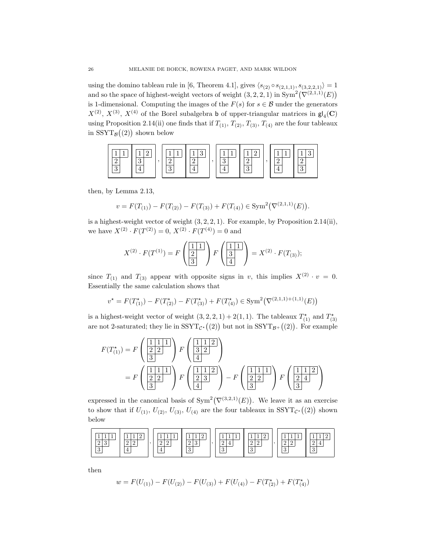using the domino tableau rule in [6, Theorem 4.1], gives  $\langle s_{(2)} \circ s_{(2,1,1)}, s_{(3,2,2,1)} \rangle = 1$ and so the space of highest-weight vectors of weight  $(3, 2, 2, 1)$  in  $Sym^2(\nabla^{(2,1,1)}(E))$ is 1-dimensional. Computing the images of the  $F(s)$  for  $s \in \mathcal{B}$  under the generators  $X^{(2)}$ ,  $X^{(3)}$ ,  $X^{(4)}$  of the Borel subalgebra b of upper-triangular matrices in  $\mathsf{gl}_4(\mathbf{C})$ using Proposition 2.14(ii) one finds that if  $T_{(1)}$ ,  $T_{(2)}$ ,  $T_{(3)}$ ,  $T_{(4)}$  are the four tableaux in  $\text{SSYT}_{\mathcal{B}}((2))$  shown below



then, by Lemma 2.13,

$$
v = F(T_{(1)}) - F(T_{(2)}) - F(T_{(3)}) + F(T_{(4)}) \in \text{Sym}^2(\nabla^{(2,1,1)}(E)).
$$

is a highest-weight vector of weight  $(3, 2, 2, 1)$ . For example, by Proposition 2.14(ii), we have  $X^{(2)} \cdot F(T^{(2)}) = 0$ ,  $X^{(2)} \cdot F(T^{(4)}) = 0$  and

$$
X^{(2)} \cdot F(T^{(1)}) = F\left(\frac{1}{2} \frac{1}{3}\right) F\left(\frac{1}{3} \frac{1}{4}\right) = X^{(2)} \cdot F(T_{(3)});
$$

since  $T_{(1)}$  and  $T_{(3)}$  appear with opposite signs in v, this implies  $X^{(2)} \cdot v = 0$ . Essentially the same calculation shows that

$$
v^* = F(T^*_{(1)}) - F(T^*_{(2)}) - F(T^*_{(3)}) + F(T^*_{(4)}) \in \text{Sym}^2(\nabla^{(2,1,1)+(1,1)}(E))
$$

is a highest-weight vector of weight  $(3, 2, 2, 1) + 2(1, 1)$ . The tableaux  $T_{(1)}^{\star}$  and  $T_{(3)}^{\star}$ are not 2-saturated; they lie in  $SSYT_{\mathcal{C}^*}((2))$  but not in  $SSYT_{\mathcal{B}^+}((2))$ . For example

$$
F(T_{(1)}^{*}) = F\left(\frac{\boxed{1111}}{3}\right) F\left(\frac{\boxed{112}}{3}\right)
$$
  
=  $F\left(\frac{\boxed{1111}}{3}\right) F\left(\frac{\boxed{112}}{3}\right) - F\left(\frac{\boxed{1111}}{3}\right) F\left(\frac{\boxed{1112}}{3}\right) F\left(\frac{\boxed{111}}{3}\right)$ 

expressed in the canonical basis of  $Sym^2(\nabla^{(3,2,1)}(E))$ . We leave it as an exercise to show that if  $U_{(1)}$ ,  $U_{(2)}$ ,  $U_{(3)}$ ,  $U_{(4)}$  are the four tableaux in SSYT<sub>C<sup>\*</sub></sup>((2)) shown</sub> below



then

$$
w = F(U_{(1)}) - F(U_{(2)}) - F(U_{(3)}) + F(U_{(4)}) - F(T_{(2)}^{\star}) + F(T_{(4)}^{\star})
$$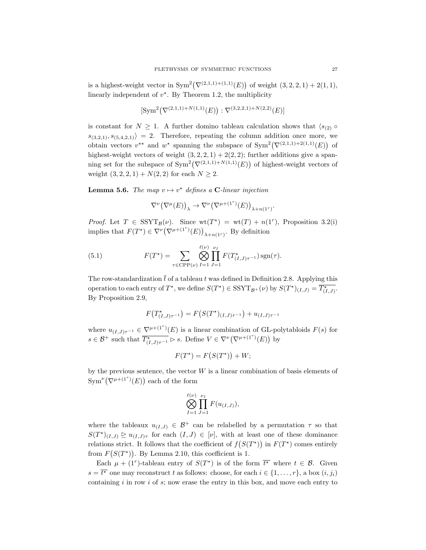is a highest-weight vector in  $Sym^2(\nabla^{(2,1,1)+(1,1)}(E))$  of weight  $(3,2,2,1)+2(1,1),$ linearly independent of  $v^*$ . By Theorem 1.2, the multiplicity

$$
[\text{Sym}^2(\nabla^{(2,1,1)+N(1,1)}(E)) : \nabla^{(3,2,2,1)+N(2,2)}(E)]
$$

is constant for  $N \geq 1$ . A further domino tableau calculation shows that  $\langle s_{(2)} \circ$  $s_{(3,2,1)}, s_{(5,4,2,1)}$  = 2. Therefore, repeating the column addition once more, we obtain vectors  $v^*$  and  $w^*$  spanning the subspace of  $Sym^2(\nabla^{(2,1,1)+2(1,1)}(E))$  of highest-weight vectors of weight  $(3, 2, 2, 1) + 2(2, 2)$ ; further additions give a spanning set for the subspace of  $Sym^2(\nabla^{(2,1,1)+N(1,1)}(E))$  of highest-weight vectors of weight  $(3, 2, 2, 1) + N(2, 2)$  for each  $N \ge 2$ .

**Lemma 5.6.** The map  $v \mapsto v^*$  defines a C-linear injection

$$
\nabla^{\nu}\big(\nabla^{\mu}(E)\big)_{\lambda}\rightarrow \nabla^{\nu}\big(\nabla^{\mu+(1^{r})}(E)\big)_{\lambda+n(1^{r})}.
$$

*Proof.* Let  $T \in \text{SSYT}_{\mathcal{B}}(\nu)$ . Since  $wt(T^*) = wt(T) + n(1^r)$ , Proposition 3.2(i) implies that  $F(T^*) \in \nabla^{\nu} (\nabla^{\mu+(1^r)}(E))_{\lambda+n(1^r)}$ . By definition

(5.1) 
$$
F(T^*) = \sum_{\tau \in \text{CPP}(\nu)} \bigotimes_{I=1}^{\ell(\nu)} \prod_{J=1}^{\nu_I} F(T^*_{(I,J)\tau^{-1}}) \, \text{sgn}(\tau).
$$

The row-standardization  $\bar{t}$  of a tableau t was defined in Definition 2.8. Applying this operation to each entry of  $T^*$ , we define  $S(T^*) \in \text{SSYT}_{\mathcal{B}^+}(\nu)$  by  $S(T^*)_{(I,J)} = \overline{T^*_{(I,J)}}$ . By Proposition 2.9,

$$
F(T^{\star}_{(I,J)\tau^{-1}}) = F(S(T^{\star})_{(I,J)\tau^{-1}}) + u_{(I,J)\tau^{-1}}
$$

where  $u_{(I,J)\tau^{-1}} \in \nabla^{\mu+(1^{\tau})}(E)$  is a linear combination of GL-polytabloids  $F(s)$  for  $s \in \mathcal{B}^+$  such that  $\overline{T^*_{(I,J)\tau^{-1}}} \triangleright s$ . Define  $V \in \nabla^{\nu}(\nabla^{\mu+(1^r)}(E))$  by

$$
F(T^*) = F(S(T^*)) + W;
$$

by the previous sentence, the vector  $W$  is a linear combination of basis elements of  $\text{Sym}^{\nu}(\nabla^{\mu+(1^r)}(E))$  each of the form

$$
\bigotimes_{I=1}^{\ell(\nu)}\prod_{J=1}^{\nu_I}F(u_{(I,J)}),
$$

where the tableaux  $u_{(I,J)} \in \mathcal{B}^+$  can be relabelled by a permutation  $\tau$  so that  $S(T^{\star})_{(I,J)} \geq u_{(I,J)\tau}$  for each  $(I,J) \in [\nu]$ , with at least one of these dominance relations strict. It follows that the coefficient of  $f(S(T^*))$  in  $F(T^*)$  comes entirely from  $F(S(T^*))$ . By Lemma 2.10, this coefficient is 1.

Each  $\mu + (1^r)$ -tableau entry of  $S(T^*)$  is of the form  $\overline{t^*}$  where  $t \in \mathcal{B}$ . Given  $s = \overline{t^*}$  one may reconstruct t as follows: choose, for each  $i \in \{1, \ldots, r\}$ , a box  $(i, j_i)$ containing  $i$  in row  $i$  of  $s$ ; now erase the entry in this box, and move each entry to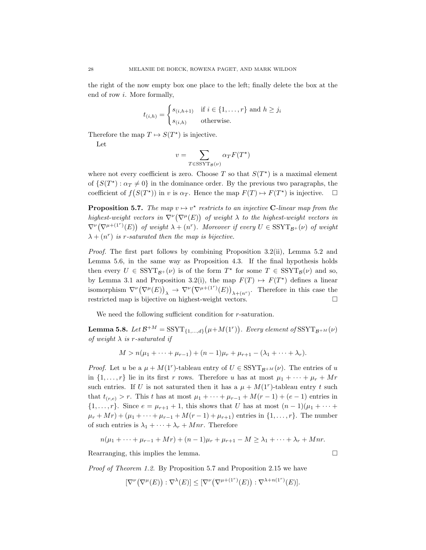the right of the now empty box one place to the left; finally delete the box at the end of row i. More formally,

$$
t_{(i,h)} = \begin{cases} s_{(i,h+1)} & \text{if } i \in \{1,\dots,r\} \text{ and } h \geq j_i \\ s_{(i,h)} & \text{otherwise.} \end{cases}
$$

Therefore the map  $T \mapsto S(T^*)$  is injective.

Let

$$
v = \sum_{T \in \text{SSYT}_{\mathcal{B}}(\nu)} \alpha_T F(T^*)
$$

where not every coefficient is zero. Choose T so that  $S(T^*)$  is a maximal element of  $\{S(T^*) : \alpha_T \neq 0\}$  in the dominance order. By the previous two paragraphs, the coefficient of  $f(S(T^*))$  in v is  $\alpha_T$ . Hence the map  $F(T) \mapsto F(T^*)$  is injective.  $\Box$ 

**Proposition 5.7.** The map  $v \mapsto v^*$  restricts to an injective C-linear map from the highest-weight vectors in  $\nabla^{\nu}(\nabla^{\mu}(E))$  of weight  $\lambda$  to the highest-weight vectors in  $\nabla^{\nu}(\nabla^{\mu+(1^r)}(E))$  of weight  $\lambda + (n^r)$ . Moreover if every  $U \in \mathrm{SSYT}_{\mathcal{B}^+}(\nu)$  of weight  $\lambda + (n^r)$  is r-saturated then the map is bijective.

Proof. The first part follows by combining Proposition 3.2(ii), Lemma 5.2 and Lemma 5.6, in the same way as Proposition 4.3. If the final hypothesis holds then every  $U \in \text{SSYT}_{\mathcal{B}^+}(\nu)$  is of the form  $T^*$  for some  $T \in \text{SSYT}_{\mathcal{B}}(\nu)$  and so, by Lemma 3.1 and Proposition 3.2(i), the map  $F(T) \rightarrow F(T^*)$  defines a linear isomorphism  $\nabla^{\nu}(\nabla^{\mu}(E))_{\lambda} \to \nabla^{\nu}(\nabla^{\mu+(1^{r})}(E))_{\lambda+(n^{r})}$ . Therefore in this case the restricted map is bijective on highest-weight vectors.

We need the following sufficient condition for r-saturation.

**Lemma 5.8.** Let  $\mathcal{B}^{+M} = \text{SSYT}_{\{1,\ldots,d\}}(\mu+M(1^r))$ . Every element of  $\text{SSYT}_{\mathcal{B}^{+M}}(\nu)$ of weight  $\lambda$  is r-saturated if

$$
M > n(\mu_1 + \dots + \mu_{r-1}) + (n-1)\mu_r + \mu_{r+1} - (\lambda_1 + \dots + \lambda_r).
$$

*Proof.* Let u be a  $\mu + M(1^r)$ -tableau entry of  $U \in \text{SSYT}_{\mathcal{B}^{+M}}(\nu)$ . The entries of u in  $\{1, \ldots, r\}$  lie in its first r rows. Therefore u has at most  $\mu_1 + \cdots + \mu_r + Mr$ such entries. If U is not saturated then it has a  $\mu + M(1^r)$ -tableau entry t such that  $t_{(r,e)} > r$ . This t has at most  $\mu_1 + \cdots + \mu_{r-1} + M(r-1) + (e-1)$  entries in  $\{1, \ldots, r\}$ . Since  $e = \mu_{r+1} + 1$ , this shows that U has at most  $(n-1)(\mu_1 + \cdots + \mu_r)$  $\mu_r + Mr) + (\mu_1 + \cdots + \mu_{r-1} + M(r-1) + \mu_{r+1})$  entries in  $\{1, \ldots, r\}$ . The number of such entries is  $\lambda_1 + \cdots + \lambda_r + Mnr$ . Therefore

$$
n(\mu_1 + \dots + \mu_{r-1} + Mr) + (n-1)\mu_r + \mu_{r+1} - M \ge \lambda_1 + \dots + \lambda_r + Mnr.
$$

Rearranging, this implies the lemma.  $\square$ 

Proof of Theorem 1.2. By Proposition 5.7 and Proposition 2.15 we have

$$
[\nabla^{\nu}(\nabla^{\mu}(E)) : \nabla^{\lambda}(E)] \leq [\nabla^{\nu}(\nabla^{\mu+(1^{r})}(E)) : \nabla^{\lambda+n(1^{r})}(E)].
$$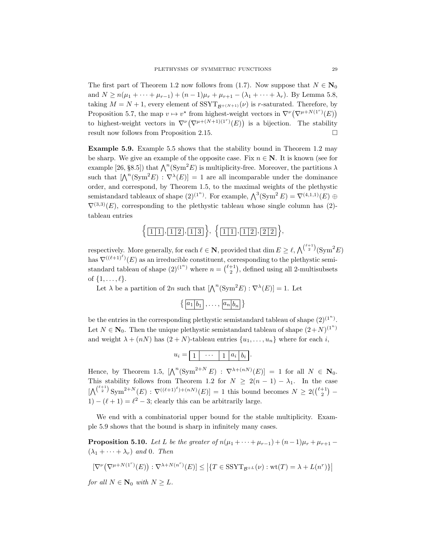The first part of Theorem 1.2 now follows from (1.7). Now suppose that  $N \in \mathbb{N}_0$ and  $N \ge n(\mu_1 + \cdots + \mu_{r-1}) + (n-1)\mu_r + \mu_{r+1} - (\lambda_1 + \cdots + \lambda_r)$ . By Lemma 5.8, taking  $M = N + 1$ , every element of SSYT<sub> $\mathcal{B}^{+(N+1)}(\nu)$  is r-saturated. Therefore, by</sub> Proposition 5.7, the map  $v \mapsto v^*$  from highest-weight vectors in  $\nabla^{\nu}(\nabla^{\mu+N(1^r)}(E))$ to highest-weight vectors in  $\nabla^{\nu}(\nabla^{\mu+(N+1)(1^r)}(E))$  is a bijection. The stability result now follows from Proposition 2.15.

Example 5.9. Example 5.5 shows that the stability bound in Theorem 1.2 may be sharp. We give an example of the opposite case. Fix  $n \in \mathbb{N}$ . It is known (see for example [26, §8.5]) that  $\bigwedge^n(\mathrm{Sym}^2 E)$  is multiplicity-free. Moreover, the partitions  $\lambda$ such that  $[\bigwedge^n(\text{Sym}^2 E) : \nabla^{\lambda}(E)] = 1$  are all incomparable under the dominance order, and correspond, by Theorem 1.5, to the maximal weights of the plethystic semistandard tableaux of shape  $(2)^{(1^n)}$ . For example,  $\bigwedge^3(\text{Sym}^2 E) = \nabla^{(4,1,1)}(E) \oplus$  $\nabla^{(3,3)}(E)$ , corresponding to the plethystic tableau whose single column has (2)tableau entries

$$
\left\{ \boxed{1\,1}, \boxed{1\,2}, \boxed{1\,3} \right\}, \ \left\{ \boxed{1\,1}, \boxed{1\,2}, \boxed{2\,2} \right\},
$$

respectively. More generally, for each  $\ell \in \mathbb{N}$ , provided that  $\dim E \geq \ell, \bigwedge^{(\ell+1)}(\text{Sym}^2 E)$ has  $\nabla^{((\ell+1)^\ell)}(E)$  as an irreducible constituent, corresponding to the plethystic semistandard tableau of shape  $(2)^{(1^n)}$  where  $n = \binom{\ell+1}{2}$ , defined using all 2-multisubsets of  $\{1, \ldots, \ell\}$ .

Let  $\lambda$  be a partition of 2n such that  $[\Lambda^n(\text{Sym}^2 E) : \nabla^{\lambda}(E)] = 1$ . Let

$$
\left\{ \boxed{a_1|b_1},\ldots,\boxed{a_n|b_n} \right\}
$$

be the entries in the corresponding plethystic semistandard tableau of shape  $(2)^{(1^n)}$ . Let  $N \in \mathbb{N}_0$ . Then the unique plethystic semistandard tableau of shape  $(2+N)^{(1^n)}$ and weight  $\lambda + (nN)$  has  $(2+N)$ -tableau entries  $\{u_1, \ldots, u_n\}$  where for each i,

$$
u_i = \boxed{1} \quad \cdots \quad \boxed{1} \quad a_i \quad b_i
$$

Hence, by Theorem 1.5,  $[\bigwedge^n(\text{Sym}^{2+N} E) : \nabla^{\lambda+(n) (E)}] = 1$  for all  $N \in \mathbb{N}_0$ . This stability follows from Theorem 1.2 for  $N \geq 2(n-1) - \lambda_1$ . In the case  $[\bigwedge^{(\ell+1)} \text{Sym}^{2+N}(E) : \nabla^{((\ell+1)^{\ell})+(nN)}(E)] = 1$  this bound becomes  $N \geq 2(\binom{\ell+1}{2} - \ell)$ 1) –  $(\ell + 1) = \ell^2 - 3$ ; clearly this can be arbitrarily large.

We end with a combinatorial upper bound for the stable multiplicity. Example 5.9 shows that the bound is sharp in infinitely many cases.

**Proposition 5.10.** Let L be the greater of  $n(\mu_1 + \cdots + \mu_{r-1}) + (n-1)\mu_r + \mu_{r+1}$  $(\lambda_1 + \cdots + \lambda_r)$  and 0. Then

$$
\left[\nabla^{\nu}\left(\nabla^{\mu+N(1^r)}(E)\right) : \nabla^{\lambda+N(n^r)}(E)\right] \le \left|\{T \in \text{SSYT}_{\mathcal{B}^{+L}}(\nu) : \text{wt}(T) = \lambda + L(n^r)\}\right|
$$

for all  $N \in \mathbb{N}_0$  with  $N \geq L$ .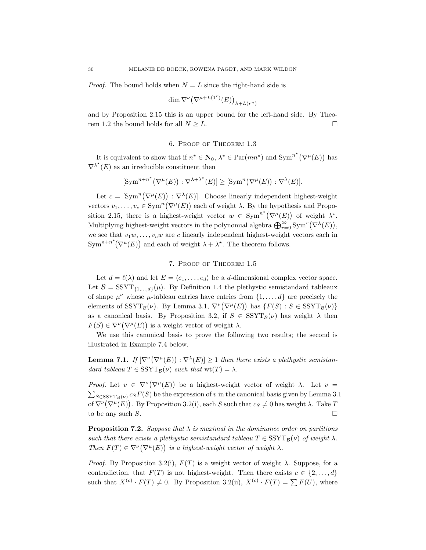*Proof.* The bound holds when  $N = L$  since the right-hand side is

$$
\dim \nabla^{\nu} \big(\nabla^{\mu+L(1^r)}(E)\big)_{\lambda+L(r^n)}
$$

and by Proposition 2.15 this is an upper bound for the left-hand side. By Theorem 1.2 the bound holds for all  $N \geq L$ .

#### 6. Proof of Theorem 1.3

It is equivalent to show that if  $n^* \in \mathbb{N}_0$ ,  $\lambda^* \in \text{Par}(mn^*)$  and  $\text{Sym}^{n^*}(\nabla^{\mu}(E))$  has  $\nabla^{\lambda^*}(E)$  as an irreducible constituent then

$$
[\operatorname{Sym}^{n+n^{\star}}(\nabla^{\mu}(E)) : \nabla^{\lambda+\lambda^{\star}}(E)] \geq [\operatorname{Sym}^{n}(\nabla^{\mu}(E)) : \nabla^{\lambda}(E)].
$$

Let  $c = \left[\text{Sym}^n(\nabla^{\mu}(E)) : \nabla^{\lambda}(E)\right]$ . Choose linearly independent highest-weight vectors  $v_1, \ldots, v_c \in \text{Sym}^n(\nabla^{\mu}(E))$  each of weight  $\lambda$ . By the hypothesis and Proposition 2.15, there is a highest-weight vector  $w \in \text{Sym}^{n^*}(\nabla^{\mu}(E))$  of weight  $\lambda^*$ . Multiplying highest-weight vectors in the polynomial algebra  $\bigoplus_{r=0}^{\infty} \text{Sym}^r(\nabla^{\lambda}(E)),$ we see that  $v_1w, \ldots, v_cw$  are c linearly independent highest-weight vectors each in  $\text{Sym}^{n+n^*}(\nabla^{\mu}(E))$  and each of weight  $\lambda + \lambda^*$ . The theorem follows.

#### 7. Proof of Theorem 1.5

Let  $d = \ell(\lambda)$  and let  $E = \langle e_1, \ldots, e_d \rangle$  be a d-dimensional complex vector space. Let  $\mathcal{B} = \text{SSYT}_{1, \dots, d}(\mu)$ . By Definition 1.4 the plethystic semistandard tableaux of shape  $\mu^{\nu}$  whose  $\mu$ -tableau entries have entries from  $\{1,\ldots,d\}$  are precisely the elements of  $SSYT_{\mathcal{B}}(\nu)$ . By Lemma 3.1,  $\nabla^{\nu}(\nabla^{\mu}(E))$  has  $\{F(S): S \in SSYT_{\mathcal{B}}(\nu)\}\$ as a canonical basis. By Proposition 3.2, if  $S \in \text{SSYT}_{\mathcal{B}}(\nu)$  has weight  $\lambda$  then  $F(S) \in \nabla^{\nu}(\nabla^{\mu}(E))$  is a weight vector of weight  $\lambda$ .

We use this canonical basis to prove the following two results; the second is illustrated in Example 7.4 below.

**Lemma 7.1.** If  $[\nabla^{\nu}(\nabla^{\mu}(E)) : \nabla^{\lambda}(E)] \geq 1$  then there exists a plethystic semistandard tableau  $T \in \text{SSYT}_{\mathcal{B}}(\nu)$  such that  $wt(T) = \lambda$ .

Proof. Let  $v \in \nabla^{\nu}(\nabla^{\mu}(E))$  be a highest-weight vector of weight  $\lambda$ . Let  $v =$  $\sum_{S \in \text{SSYT}_{\mathcal{B}}(\nu)} c_S F(S)$  be the expression of v in the canonical basis given by Lemma 3.1 of  $\nabla^{\nu}(\nabla^{\mu}(E))$ . By Proposition 3.2(i), each S such that  $c_S \neq 0$  has weight  $\lambda$ . Take T to be any such S.  $\Box$ 

**Proposition 7.2.** Suppose that  $\lambda$  is maximal in the dominance order on partitions such that there exists a plethystic semistandard tableau  $T \in \text{SSYT}_\mathcal{B}(\nu)$  of weight  $\lambda$ . Then  $F(T) \in \nabla^{\nu}(\nabla^{\mu}(E))$  is a highest-weight vector of weight  $\lambda$ .

*Proof.* By Proposition 3.2(i),  $F(T)$  is a weight vector of weight  $\lambda$ . Suppose, for a contradiction, that  $F(T)$  is not highest-weight. Then there exists  $c \in \{2, \ldots, d\}$ such that  $X^{(c)} \cdot F(T) \neq 0$ . By Proposition 3.2(ii),  $X^{(c)} \cdot F(T) = \sum F(U)$ , where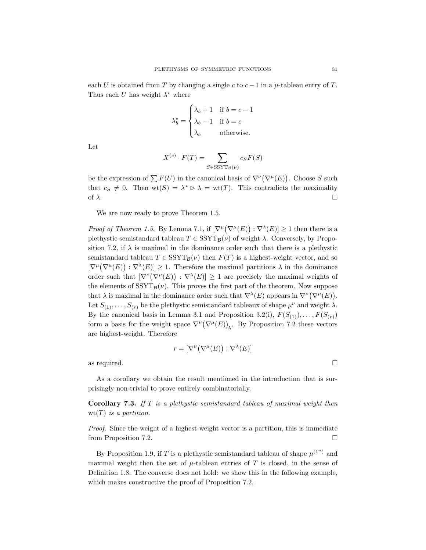each U is obtained from T by changing a single c to  $c-1$  in a  $\mu$ -tableau entry of T. Thus each U has weight  $\lambda^*$  where

$$
\lambda_b^* = \begin{cases}\n\lambda_b + 1 & \text{if } b = c - 1 \\
\lambda_b - 1 & \text{if } b = c \\
\lambda_b & \text{otherwise.} \n\end{cases}
$$

Let

$$
X^{(c)} \cdot F(T) = \sum_{S \in \text{SSYT}_{\mathcal{B}}(\nu)} c_S F(S)
$$

be the expression of  $\sum F(U)$  in the canonical basis of  $\nabla^{\nu}(\nabla^{\mu}(E))$ . Choose S such that  $c_S \neq 0$ . Then  $\text{wt}(S) = \lambda^* \triangleright \lambda = \text{wt}(T)$ . This contradicts the maximality of  $\lambda$ .

We are now ready to prove Theorem 1.5.

*Proof of Theorem 1.5.* By Lemma 7.1, if  $[\nabla^{\mu}(\nabla^{\mu}(E)) : \nabla^{\lambda}(E)] \geq 1$  then there is a plethystic semistandard tableau  $T \in \text{SSYT}_{\mathcal{B}}(\nu)$  of weight  $\lambda$ . Conversely, by Proposition 7.2, if  $\lambda$  is maximal in the dominance order such that there is a plethystic semistandard tableau  $T \in \text{SSYT}_{\mathcal{B}}(\nu)$  then  $F(T)$  is a highest-weight vector, and so  $[\nabla^{\mu}(\nabla^{\mu}(E)) : \nabla^{\lambda}(E)] \geq 1$ . Therefore the maximal partitions  $\lambda$  in the dominance order such that  $[\nabla^{\nu}(\nabla^{\mu}(E)) : \nabla^{\lambda}(E)] \geq 1$  are precisely the maximal weights of the elements of  $SSYT_{\mathcal{B}}(\nu)$ . This proves the first part of the theorem. Now suppose that  $\lambda$  is maximal in the dominance order such that  $\nabla^{\lambda}(E)$  appears in  $\nabla^{\nu}(\nabla^{\mu}(E)).$ Let  $S_{(1)}, \ldots, S_{(r)}$  be the plethystic semistandard tableaux of shape  $\mu^{\nu}$  and weight  $\lambda$ . By the canonical basis in Lemma 3.1 and Proposition 3.2(i),  $F(S_{(1)}), \ldots, F(S_{(r)})$ form a basis for the weight space  $\nabla^{\nu}(\nabla^{\mu}(E))_{\lambda}$ . By Proposition 7.2 these vectors are highest-weight. Therefore

$$
r = [\nabla^{\nu}(\nabla^{\mu}(E)) : \nabla^{\lambda}(E)]
$$

as required.

As a corollary we obtain the result mentioned in the introduction that is surprisingly non-trivial to prove entirely combinatorially.

Corollary 7.3. If T is a plethystic semistandard tableau of maximal weight then  $wt(T)$  is a partition.

Proof. Since the weight of a highest-weight vector is a partition, this is immediate from Proposition 7.2.

By Proposition 1.9, if T is a plethystic semistandard tableau of shape  $\mu^{(1^n)}$  and maximal weight then the set of  $\mu$ -tableau entries of T is closed, in the sense of Definition 1.8. The converse does not hold: we show this in the following example, which makes constructive the proof of Proposition 7.2.

$$
\sqcup\!\!\sqcup
$$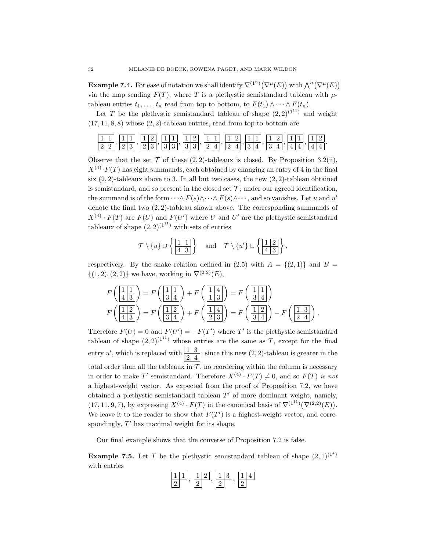**Example 7.4.** For ease of notation we shall identify  $\nabla^{(1^n)}(\nabla^{\mu}(E))$  with  $\bigwedge^n(\nabla^{\mu}(E))$ via the map sending  $F(T)$ , where T is a plethystic semistandard tableau with  $\mu$ tableau entries  $t_1, \ldots, t_n$  read from top to bottom, to  $F(t_1) \wedge \cdots \wedge F(t_n)$ .

Let T be the plethystic semistandard tableau of shape  $(2, 2)^{(1^{11})}$  and weight  $(17, 11, 8, 8)$  whose  $(2, 2)$ -tableau entries, read from top to bottom are



Observe that the set  $\mathcal T$  of these  $(2, 2)$ -tableaux is closed. By Proposition 3.2(ii),  $X^{(4)} \tcdot F(T)$  has eight summands, each obtained by changing an entry of 4 in the final six  $(2, 2)$ -tableaux above to 3. In all but two cases, the new  $(2, 2)$ -tableau obtained is semistandard, and so present in the closed set  $\mathcal{T}$ ; under our agreed identification, the summand is of the form  $\cdots \wedge F(s) \wedge \cdots \wedge F(s) \wedge \cdots$ , and so vanishes. Let u and u' denote the final two  $(2, 2)$ -tableau shown above. The corresponding summands of  $X^{(4)} \cdot F(T)$  are  $F(U)$  and  $F(U')$  where U and U' are the plethystic semistandard tableaux of shape  $(2, 2)^{(1)}$  with sets of entries

$$
\mathcal{T} \setminus \{u\} \cup \left\{ \frac{1}{4} \frac{1}{3} \right\}
$$
 and  $\mathcal{T} \setminus \{u'\} \cup \left\{ \frac{1}{4} \frac{2}{3} \right\}$ ,

respectively. By the snake relation defined in (2.5) with  $A = \{(2,1)\}\$  and  $B =$  $\{(1, 2), (2, 2)\}\$ we have, working in  $\nabla^{(2, 2)}(E)$ ,

$$
F\left(\frac{11}{413}\right) = F\left(\frac{11}{34}\right) + F\left(\frac{11}{13}\right) = F\left(\frac{11}{34}\right)
$$

$$
F\left(\frac{11}{413}\right) = F\left(\frac{11}{34}\right) + F\left(\frac{11}{213}\right) = F\left(\frac{11}{34}\right) - F\left(\frac{11}{21}\right).
$$

Therefore  $F(U) = 0$  and  $F(U') = -F(T')$  where T' is the plethystic semistandard tableau of shape  $(2,2)^{(11)}$  whose entries are the same as T, except for the final entry u', which is replaced with  $\frac{1}{2} \cdot \frac{3}{4}$ ; since this new  $(2, 2)$ -tableau is greater in the total order than all the tableaux in  $\mathcal{T}$ , no reordering within the column is necessary in order to make T' semistandard. Therefore  $X^{(4)} \cdot F(T) \neq 0$ , and so  $F(T)$  is not a highest-weight vector. As expected from the proof of Proposition 7.2, we have obtained a plethystic semistandard tableau  $T'$  of more dominant weight, namely,  $(17, 11, 9, 7)$ , by expressing  $X^{(4)} \cdot F(T)$  in the canonical basis of  $\nabla^{(1^{11})}(\nabla^{(2,2)}(E)).$ We leave it to the reader to show that  $F(T')$  is a highest-weight vector, and correspondingly,  $T'$  has maximal weight for its shape.

Our final example shows that the converse of Proposition 7.2 is false.

**Example 7.5.** Let T be the plethystic semistandard tableau of shape  $(2,1)^{(1^4)}$ with entries

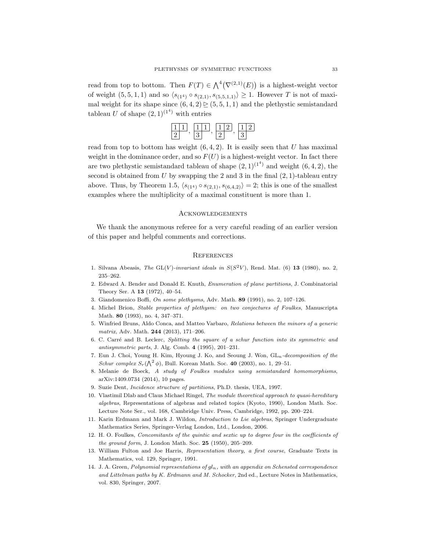read from top to bottom. Then  $F(T) \in \bigwedge^4 (\nabla^{(2,1)}(E))$  is a highest-weight vector of weight  $(5, 5, 1, 1)$  and so  $\langle s_{(14)} \circ s_{(2,1)}, s_{(5,5,1,1)} \rangle \geq 1$ . However T is not of maximal weight for its shape since  $(6, 4, 2) \ge (5, 5, 1, 1)$  and the plethystic semistandard tableau U of shape  $(2,1)^{(1^4)}$  with entries

read from top to bottom has weight  $(6, 4, 2)$ . It is easily seen that U has maximal weight in the dominance order, and so  $F(U)$  is a highest-weight vector. In fact there are two plethystic semistandard tableau of shape  $(2,1)^{(1^4)}$  and weight  $(6,4,2)$ , the second is obtained from  $U$  by swapping the 2 and 3 in the final  $(2, 1)$ -tableau entry above. Thus, by Theorem 1.5,  $\langle s_{(14)} \circ s_{(2,1)}, s_{(6,4,2)} \rangle = 2$ ; this is one of the smallest examples where the multiplicity of a maximal constituent is more than 1.

#### **ACKNOWLEDGEMENTS**

We thank the anonymous referee for a very careful reading of an earlier version of this paper and helpful comments and corrections.

#### **REFERENCES**

- 1. Silvana Abeasis, The GL(V)-invariant ideals in  $S(S^2V)$ , Rend. Mat. (6) 13 (1980), no. 2, 235–262.
- 2. Edward A. Bender and Donald E. Knuth, Enumeration of plane partitions, J. Combinatorial Theory Ser. A 13 (1972), 40–54.
- 3. Giandomenico Boffi, On some plethysms, Adv. Math. 89 (1991), no. 2, 107–126.
- 4. Michel Brion, Stable properties of plethysm: on two conjectures of Foulkes, Manuscripta Math. 80 (1993), no. 4, 347–371.
- 5. Winfried Bruns, Aldo Conca, and Matteo Varbaro, Relations between the minors of a generic matrix, Adv. Math. 244 (2013), 171–206.
- 6. C. Carré and B. Leclerc, Splitting the square of a schur function into its symmetric and antisymmetric parts, J. Alg. Comb. 4 (1995), 201–231.
- 7. Eun J. Choi, Young H. Kim, Hyoung J. Ko, and Seoung J. Won,  $GL_n-decomposition$  of the Schur complex  $S_r(\bigwedge^2 \phi)$ , Bull. Korean Math. Soc. 40 (2003), no. 1, 29–51.
- 8. Melanie de Boeck, A study of Foulkes modules using semistandard homomorphisms, arXiv:1409.0734 (2014), 10 pages.
- 9. Suzie Dent, Incidence structure of partitions, Ph.D. thesis, UEA, 1997.
- 10. Vlastimil Dlab and Claus Michael Ringel, The module theoretical approach to quasi-hereditary algebras, Representations of algebras and related topics (Kyoto, 1990), London Math. Soc. Lecture Note Ser., vol. 168, Cambridge Univ. Press, Cambridge, 1992, pp. 200–224.
- 11. Karin Erdmann and Mark J. Wildon, Introduction to Lie algebras, Springer Undergraduate Mathematics Series, Springer-Verlag London, Ltd., London, 2006.
- 12. H. O. Foulkes, Concomitants of the quintic and sextic up to degree four in the coefficients of the ground form, J. London Math. Soc.  $25$  (1950), 205–209.
- 13. William Fulton and Joe Harris, Representation theory, a first course, Graduate Texts in Mathematics, vol. 129, Springer, 1991.
- 14. J. A. Green, Polynomial representations of  $gl_n$ , with an appendix on Schensted correspondence and Littelman paths by K. Erdmann and M. Schocker, 2nd ed., Lecture Notes in Mathematics, vol. 830, Springer, 2007.